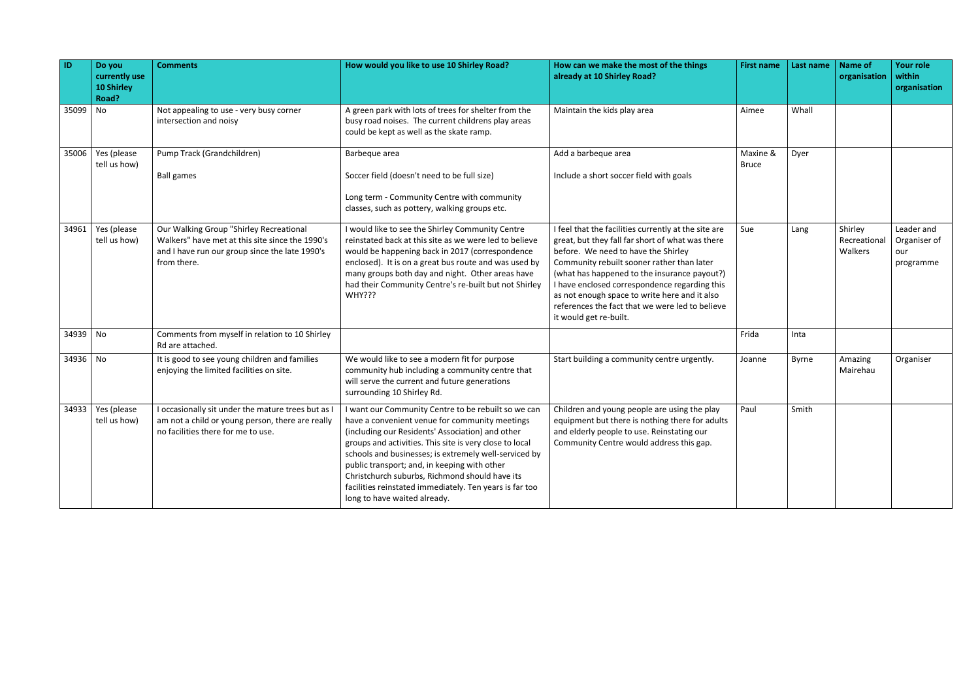| $\overline{1}$ | Do you<br>currently use<br><b>10 Shirley</b><br>Road? | <b>Comments</b>                                                                                                                                             | How would you like to use 10 Shirley Road?                                                                                                                                                                                                                                                                                                                                                                                                                                 | How can we make the most of the things<br>already at 10 Shirley Road?                                                                                                                                                                                                                                                                                                                                                        | <b>First name</b>        | Last name | <b>Name of</b><br>organisation     | <b>Your role</b><br>within<br>organisation     |
|----------------|-------------------------------------------------------|-------------------------------------------------------------------------------------------------------------------------------------------------------------|----------------------------------------------------------------------------------------------------------------------------------------------------------------------------------------------------------------------------------------------------------------------------------------------------------------------------------------------------------------------------------------------------------------------------------------------------------------------------|------------------------------------------------------------------------------------------------------------------------------------------------------------------------------------------------------------------------------------------------------------------------------------------------------------------------------------------------------------------------------------------------------------------------------|--------------------------|-----------|------------------------------------|------------------------------------------------|
| 35099          | N <sub>o</sub>                                        | Not appealing to use - very busy corner<br>intersection and noisy                                                                                           | A green park with lots of trees for shelter from the<br>busy road noises. The current childrens play areas<br>could be kept as well as the skate ramp.                                                                                                                                                                                                                                                                                                                     | Maintain the kids play area                                                                                                                                                                                                                                                                                                                                                                                                  | Aimee                    | Whall     |                                    |                                                |
| 35006          | Yes (please<br>tell us how)                           | Pump Track (Grandchildren)<br><b>Ball games</b>                                                                                                             | Barbeque area<br>Soccer field (doesn't need to be full size)<br>Long term - Community Centre with community<br>classes, such as pottery, walking groups etc.                                                                                                                                                                                                                                                                                                               | Add a barbeque area<br>Include a short soccer field with goals                                                                                                                                                                                                                                                                                                                                                               | Maxine &<br><b>Bruce</b> | Dyer      |                                    |                                                |
| 34961          | Yes (please<br>tell us how)                           | Our Walking Group "Shirley Recreational<br>Walkers" have met at this site since the 1990's<br>and I have run our group since the late 1990's<br>from there. | I would like to see the Shirley Community Centre<br>reinstated back at this site as we were led to believe<br>would be happening back in 2017 (correspondence<br>enclosed). It is on a great bus route and was used by<br>many groups both day and night. Other areas have<br>had their Community Centre's re-built but not Shirley<br>WHY???                                                                                                                              | I feel that the facilities currently at the site are<br>great, but they fall far short of what was there<br>before. We need to have the Shirley<br>Community rebuilt sooner rather than later<br>(what has happened to the insurance payout?)<br>I have enclosed correspondence regarding this<br>as not enough space to write here and it also<br>references the fact that we were led to believe<br>it would get re-built. | Sue                      | Lang      | Shirley<br>Recreational<br>Walkers | Leader and<br>Organiser of<br>our<br>programme |
| 34939 No       |                                                       | Comments from myself in relation to 10 Shirley<br>Rd are attached.                                                                                          |                                                                                                                                                                                                                                                                                                                                                                                                                                                                            |                                                                                                                                                                                                                                                                                                                                                                                                                              | Frida                    | Inta      |                                    |                                                |
| 34936 No       |                                                       | It is good to see young children and families<br>enjoying the limited facilities on site.                                                                   | We would like to see a modern fit for purpose<br>community hub including a community centre that<br>will serve the current and future generations<br>surrounding 10 Shirley Rd.                                                                                                                                                                                                                                                                                            | Start building a community centre urgently.                                                                                                                                                                                                                                                                                                                                                                                  | Joanne                   | Byrne     | Amazing<br>Mairehau                | Organiser                                      |
| 34933          | Yes (please<br>tell us how)                           | I occasionally sit under the mature trees but as I<br>am not a child or young person, there are really<br>no facilities there for me to use.                | I want our Community Centre to be rebuilt so we can<br>have a convenient venue for community meetings<br>(including our Residents' Association) and other<br>groups and activities. This site is very close to local<br>schools and businesses; is extremely well-serviced by<br>public transport; and, in keeping with other<br>Christchurch suburbs, Richmond should have its<br>facilities reinstated immediately. Ten years is far too<br>long to have waited already. | Children and young people are using the play<br>equipment but there is nothing there for adults<br>and elderly people to use. Reinstating our<br>Community Centre would address this gap.                                                                                                                                                                                                                                    | Paul                     | Smith     |                                    |                                                |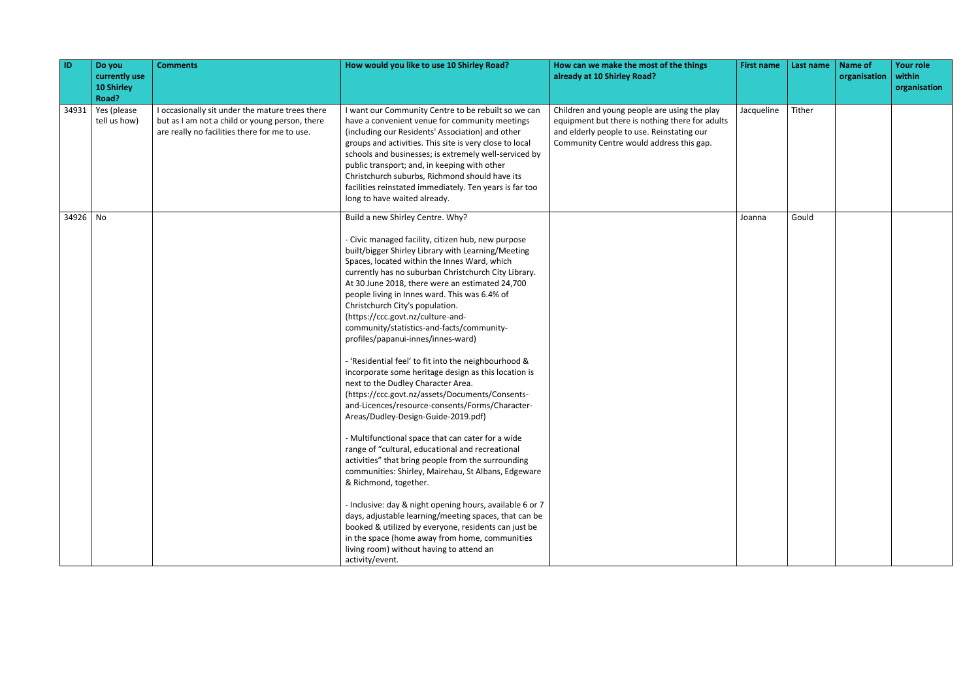| ID       | Do you<br>currently use<br><b>10 Shirley</b><br>Road? | <b>Comments</b>                                                                                                                                    | How would you like to use 10 Shirley Road?                                                                                                                                                                                                                                                                                                                                                                                                                                                                                                                                                                                                                                                                                                                                                                                                                                                                                                                                                                                                                                                                                                                                                                                                                                                                                                                          | How can we make the most of the things<br>already at 10 Shirley Road?                                                                                                                     | <b>First name</b> | Last name | <b>Name of</b><br>organisation | <b>Your role</b><br>within<br>organisation |
|----------|-------------------------------------------------------|----------------------------------------------------------------------------------------------------------------------------------------------------|---------------------------------------------------------------------------------------------------------------------------------------------------------------------------------------------------------------------------------------------------------------------------------------------------------------------------------------------------------------------------------------------------------------------------------------------------------------------------------------------------------------------------------------------------------------------------------------------------------------------------------------------------------------------------------------------------------------------------------------------------------------------------------------------------------------------------------------------------------------------------------------------------------------------------------------------------------------------------------------------------------------------------------------------------------------------------------------------------------------------------------------------------------------------------------------------------------------------------------------------------------------------------------------------------------------------------------------------------------------------|-------------------------------------------------------------------------------------------------------------------------------------------------------------------------------------------|-------------------|-----------|--------------------------------|--------------------------------------------|
| 34931    | Yes (please<br>tell us how)                           | I occasionally sit under the mature trees there<br>but as I am not a child or young person, there<br>are really no facilities there for me to use. | I want our Community Centre to be rebuilt so we can<br>have a convenient venue for community meetings<br>(including our Residents' Association) and other<br>groups and activities. This site is very close to local<br>schools and businesses; is extremely well-serviced by<br>public transport; and, in keeping with other<br>Christchurch suburbs, Richmond should have its<br>facilities reinstated immediately. Ten years is far too<br>long to have waited already.                                                                                                                                                                                                                                                                                                                                                                                                                                                                                                                                                                                                                                                                                                                                                                                                                                                                                          | Children and young people are using the play<br>equipment but there is nothing there for adults<br>and elderly people to use. Reinstating our<br>Community Centre would address this gap. | Jacqueline        | Tither    |                                |                                            |
| 34926 No |                                                       |                                                                                                                                                    | Build a new Shirley Centre. Why?<br>- Civic managed facility, citizen hub, new purpose<br>built/bigger Shirley Library with Learning/Meeting<br>Spaces, located within the Innes Ward, which<br>currently has no suburban Christchurch City Library.<br>At 30 June 2018, there were an estimated 24,700<br>people living in Innes ward. This was 6.4% of<br>Christchurch City's population.<br>(https://ccc.govt.nz/culture-and-<br>community/statistics-and-facts/community-<br>profiles/papanui-innes/innes-ward)<br>- 'Residential feel' to fit into the neighbourhood &<br>incorporate some heritage design as this location is<br>next to the Dudley Character Area.<br>(https://ccc.govt.nz/assets/Documents/Consents-<br>and-Licences/resource-consents/Forms/Character-<br>Areas/Dudley-Design-Guide-2019.pdf)<br>- Multifunctional space that can cater for a wide<br>range of "cultural, educational and recreational<br>activities" that bring people from the surrounding<br>communities: Shirley, Mairehau, St Albans, Edgeware<br>& Richmond, together.<br>- Inclusive: day & night opening hours, available 6 or 7<br>days, adjustable learning/meeting spaces, that can be<br>booked & utilized by everyone, residents can just be<br>in the space (home away from home, communities<br>living room) without having to attend an<br>activity/event. |                                                                                                                                                                                           | Joanna            | Gould     |                                |                                            |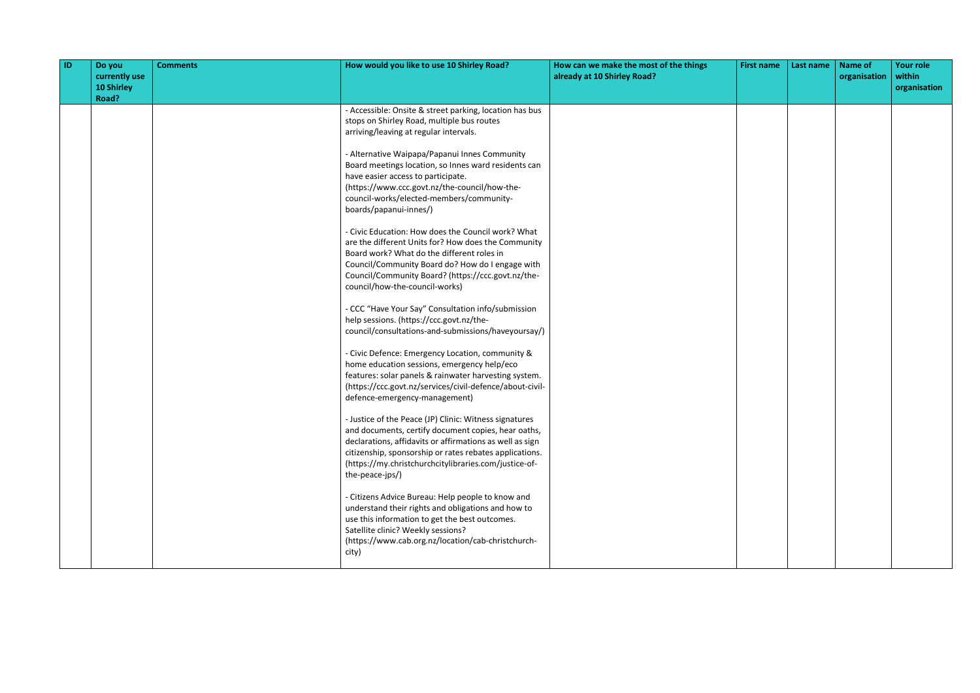| <b>ID</b> | Do you<br>currently use<br>10 Shirley<br>Road? | <b>Comments</b> | How would you like to use 10 Shirley Road?                                                                                                                                                                                                                                                                       | How can we make the most of the things<br>already at 10 Shirley Road? | <b>First name</b> | Last name | <b>Name of</b><br>organisation | <b>Your role</b><br>within<br>organisation |
|-----------|------------------------------------------------|-----------------|------------------------------------------------------------------------------------------------------------------------------------------------------------------------------------------------------------------------------------------------------------------------------------------------------------------|-----------------------------------------------------------------------|-------------------|-----------|--------------------------------|--------------------------------------------|
|           |                                                |                 | - Accessible: Onsite & street parking, location has bus<br>stops on Shirley Road, multiple bus routes<br>arriving/leaving at regular intervals.                                                                                                                                                                  |                                                                       |                   |           |                                |                                            |
|           |                                                |                 | - Alternative Waipapa/Papanui Innes Community<br>Board meetings location, so Innes ward residents can<br>have easier access to participate.<br>(https://www.ccc.govt.nz/the-council/how-the-<br>council-works/elected-members/community-<br>boards/papanui-innes/)                                               |                                                                       |                   |           |                                |                                            |
|           |                                                |                 | - Civic Education: How does the Council work? What<br>are the different Units for? How does the Community<br>Board work? What do the different roles in<br>Council/Community Board do? How do I engage with<br>Council/Community Board? (https://ccc.govt.nz/the-<br>council/how-the-council-works)              |                                                                       |                   |           |                                |                                            |
|           |                                                |                 | - CCC "Have Your Say" Consultation info/submission<br>help sessions. (https://ccc.govt.nz/the-<br>council/consultations-and-submissions/haveyoursay/)                                                                                                                                                            |                                                                       |                   |           |                                |                                            |
|           |                                                |                 | - Civic Defence: Emergency Location, community &<br>home education sessions, emergency help/eco<br>features: solar panels & rainwater harvesting system.<br>(https://ccc.govt.nz/services/civil-defence/about-civil-<br>defence-emergency-management)                                                            |                                                                       |                   |           |                                |                                            |
|           |                                                |                 | - Justice of the Peace (JP) Clinic: Witness signatures<br>and documents, certify document copies, hear oaths,<br>declarations, affidavits or affirmations as well as sign<br>citizenship, sponsorship or rates rebates applications.<br>(https://my.christchurchcitylibraries.com/justice-of-<br>the-peace-jps/) |                                                                       |                   |           |                                |                                            |
|           |                                                |                 | - Citizens Advice Bureau: Help people to know and<br>understand their rights and obligations and how to<br>use this information to get the best outcomes.<br>Satellite clinic? Weekly sessions?<br>(https://www.cab.org.nz/location/cab-christchurch-<br>city)                                                   |                                                                       |                   |           |                                |                                            |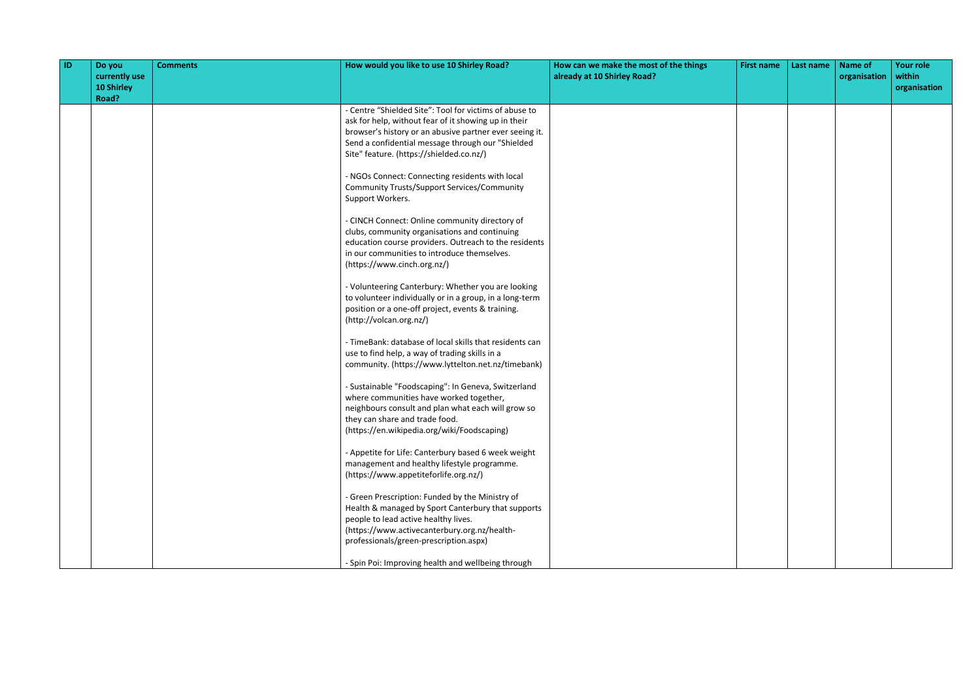| ID | Do you<br>currently use<br><b>10 Shirley</b><br>Road? | <b>Comments</b> | How would you like to use 10 Shirley Road?                                                                                                                                                                                                                                 | How can we make the most of the things<br>already at 10 Shirley Road? | <b>First name</b> | Last name | <b>Name of</b><br>organisation | <b>Your role</b><br>within<br>organisation |
|----|-------------------------------------------------------|-----------------|----------------------------------------------------------------------------------------------------------------------------------------------------------------------------------------------------------------------------------------------------------------------------|-----------------------------------------------------------------------|-------------------|-----------|--------------------------------|--------------------------------------------|
|    |                                                       |                 | - Centre "Shielded Site": Tool for victims of abuse to<br>ask for help, without fear of it showing up in their<br>browser's history or an abusive partner ever seeing it.<br>Send a confidential message through our "Shielded<br>Site" feature. (https://shielded.co.nz/) |                                                                       |                   |           |                                |                                            |
|    |                                                       |                 | - NGOs Connect: Connecting residents with local<br><b>Community Trusts/Support Services/Community</b><br>Support Workers.                                                                                                                                                  |                                                                       |                   |           |                                |                                            |
|    |                                                       |                 | - CINCH Connect: Online community directory of<br>clubs, community organisations and continuing<br>education course providers. Outreach to the residents<br>in our communities to introduce themselves.<br>(https://www.cinch.org.nz/)                                     |                                                                       |                   |           |                                |                                            |
|    |                                                       |                 | - Volunteering Canterbury: Whether you are looking<br>to volunteer individually or in a group, in a long-term<br>position or a one-off project, events & training.<br>(http://volcan.org.nz/)                                                                              |                                                                       |                   |           |                                |                                            |
|    |                                                       |                 | - TimeBank: database of local skills that residents can<br>use to find help, a way of trading skills in a<br>community. (https://www.lyttelton.net.nz/timebank)                                                                                                            |                                                                       |                   |           |                                |                                            |
|    |                                                       |                 | - Sustainable "Foodscaping": In Geneva, Switzerland<br>where communities have worked together,<br>neighbours consult and plan what each will grow so<br>they can share and trade food.<br>(https://en.wikipedia.org/wiki/Foodscaping)                                      |                                                                       |                   |           |                                |                                            |
|    |                                                       |                 | - Appetite for Life: Canterbury based 6 week weight<br>management and healthy lifestyle programme.<br>(https://www.appetiteforlife.org.nz/)                                                                                                                                |                                                                       |                   |           |                                |                                            |
|    |                                                       |                 | - Green Prescription: Funded by the Ministry of<br>Health & managed by Sport Canterbury that supports<br>people to lead active healthy lives.<br>(https://www.activecanterbury.org.nz/health-<br>professionals/green-prescription.aspx)                                    |                                                                       |                   |           |                                |                                            |
|    |                                                       |                 | - Spin Poi: Improving health and wellbeing through                                                                                                                                                                                                                         |                                                                       |                   |           |                                |                                            |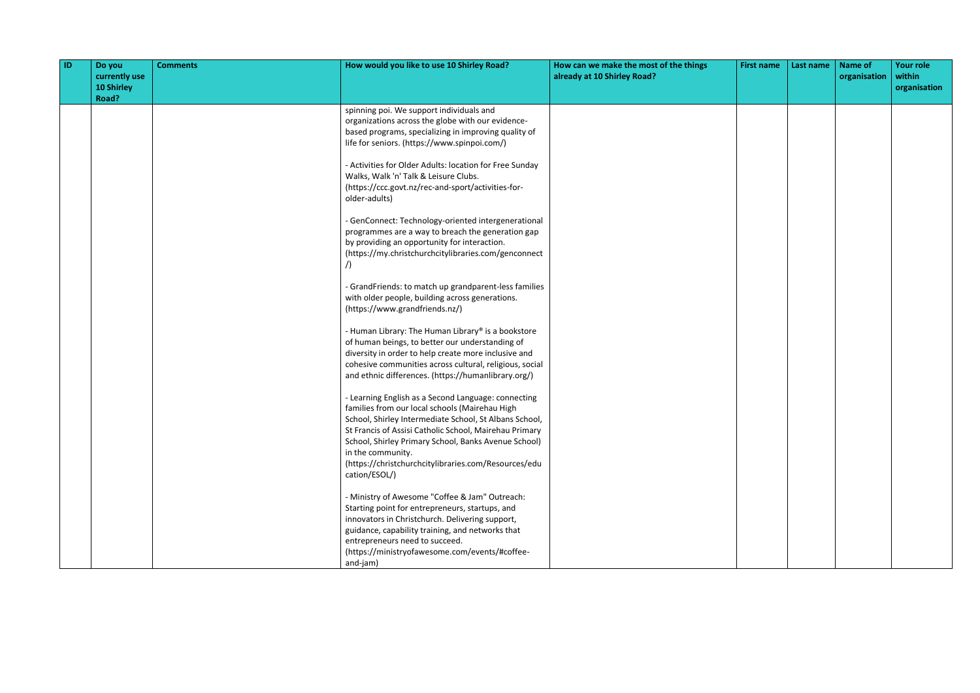| $\blacksquare$ | Do you<br>currently use<br>10 Shirley<br>Road? | <b>Comments</b> | How would you like to use 10 Shirley Road?                                                                                                                                                                                                                                                                                                                                      | How can we make the most of the things<br>already at 10 Shirley Road? | <b>First name</b> | Last name | Name of<br>organisation | <b>Your role</b><br>within<br>organisation |
|----------------|------------------------------------------------|-----------------|---------------------------------------------------------------------------------------------------------------------------------------------------------------------------------------------------------------------------------------------------------------------------------------------------------------------------------------------------------------------------------|-----------------------------------------------------------------------|-------------------|-----------|-------------------------|--------------------------------------------|
|                |                                                |                 | spinning poi. We support individuals and<br>organizations across the globe with our evidence-<br>based programs, specializing in improving quality of<br>life for seniors. (https://www.spinpoi.com/)                                                                                                                                                                           |                                                                       |                   |           |                         |                                            |
|                |                                                |                 | - Activities for Older Adults: location for Free Sunday<br>Walks, Walk 'n' Talk & Leisure Clubs.<br>(https://ccc.govt.nz/rec-and-sport/activities-for-<br>older-adults)                                                                                                                                                                                                         |                                                                       |                   |           |                         |                                            |
|                |                                                |                 | - GenConnect: Technology-oriented intergenerational<br>programmes are a way to breach the generation gap<br>by providing an opportunity for interaction.<br>(https://my.christchurchcitylibraries.com/genconnect                                                                                                                                                                |                                                                       |                   |           |                         |                                            |
|                |                                                |                 | - GrandFriends: to match up grandparent-less families<br>with older people, building across generations.<br>(https://www.grandfriends.nz/)                                                                                                                                                                                                                                      |                                                                       |                   |           |                         |                                            |
|                |                                                |                 | - Human Library: The Human Library® is a bookstore<br>of human beings, to better our understanding of<br>diversity in order to help create more inclusive and<br>cohesive communities across cultural, religious, social<br>and ethnic differences. (https://humanlibrary.org/)                                                                                                 |                                                                       |                   |           |                         |                                            |
|                |                                                |                 | - Learning English as a Second Language: connecting<br>families from our local schools (Mairehau High<br>School, Shirley Intermediate School, St Albans School,<br>St Francis of Assisi Catholic School, Mairehau Primary<br>School, Shirley Primary School, Banks Avenue School)<br>in the community.<br>(https://christchurchcitylibraries.com/Resources/edu<br>cation/ESOL/) |                                                                       |                   |           |                         |                                            |
|                |                                                |                 | - Ministry of Awesome "Coffee & Jam" Outreach:<br>Starting point for entrepreneurs, startups, and<br>innovators in Christchurch. Delivering support,<br>guidance, capability training, and networks that<br>entrepreneurs need to succeed.<br>(https://ministryofawesome.com/events/#coffee-<br>and-jam)                                                                        |                                                                       |                   |           |                         |                                            |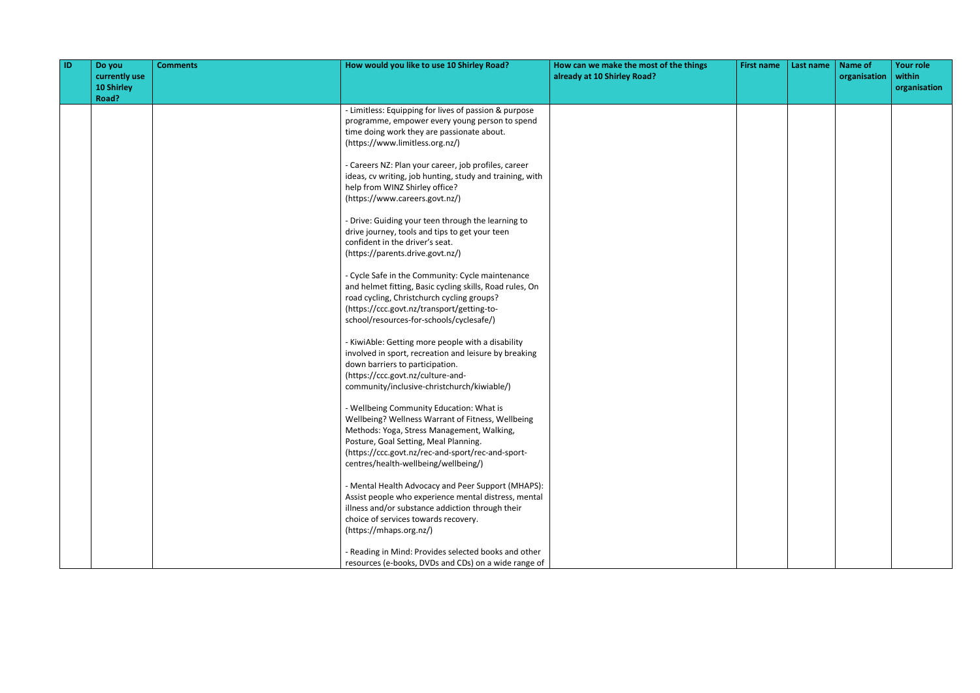| $\overline{1}$ | Do you<br>currently use<br>10 Shirley | <b>Comments</b> | How would you like to use 10 Shirley Road?                                                                 | How can we make the most of the things<br>already at 10 Shirley Road? | <b>First name</b> | Last name | <b>Name of</b><br>organisation | <b>Your role</b><br>within<br>organisation |
|----------------|---------------------------------------|-----------------|------------------------------------------------------------------------------------------------------------|-----------------------------------------------------------------------|-------------------|-----------|--------------------------------|--------------------------------------------|
|                | Road?                                 |                 |                                                                                                            |                                                                       |                   |           |                                |                                            |
|                |                                       |                 | - Limitless: Equipping for lives of passion & purpose<br>programme, empower every young person to spend    |                                                                       |                   |           |                                |                                            |
|                |                                       |                 | time doing work they are passionate about.                                                                 |                                                                       |                   |           |                                |                                            |
|                |                                       |                 | (https://www.limitless.org.nz/)                                                                            |                                                                       |                   |           |                                |                                            |
|                |                                       |                 | - Careers NZ: Plan your career, job profiles, career                                                       |                                                                       |                   |           |                                |                                            |
|                |                                       |                 | ideas, cv writing, job hunting, study and training, with                                                   |                                                                       |                   |           |                                |                                            |
|                |                                       |                 | help from WINZ Shirley office?                                                                             |                                                                       |                   |           |                                |                                            |
|                |                                       |                 | (https://www.careers.govt.nz/)                                                                             |                                                                       |                   |           |                                |                                            |
|                |                                       |                 | - Drive: Guiding your teen through the learning to                                                         |                                                                       |                   |           |                                |                                            |
|                |                                       |                 | drive journey, tools and tips to get your teen                                                             |                                                                       |                   |           |                                |                                            |
|                |                                       |                 | confident in the driver's seat.                                                                            |                                                                       |                   |           |                                |                                            |
|                |                                       |                 | (https://parents.drive.govt.nz/)                                                                           |                                                                       |                   |           |                                |                                            |
|                |                                       |                 | - Cycle Safe in the Community: Cycle maintenance                                                           |                                                                       |                   |           |                                |                                            |
|                |                                       |                 | and helmet fitting, Basic cycling skills, Road rules, On                                                   |                                                                       |                   |           |                                |                                            |
|                |                                       |                 | road cycling, Christchurch cycling groups?                                                                 |                                                                       |                   |           |                                |                                            |
|                |                                       |                 | (https://ccc.govt.nz/transport/getting-to-                                                                 |                                                                       |                   |           |                                |                                            |
|                |                                       |                 | school/resources-for-schools/cyclesafe/)                                                                   |                                                                       |                   |           |                                |                                            |
|                |                                       |                 | - KiwiAble: Getting more people with a disability<br>involved in sport, recreation and leisure by breaking |                                                                       |                   |           |                                |                                            |
|                |                                       |                 | down barriers to participation.                                                                            |                                                                       |                   |           |                                |                                            |
|                |                                       |                 | (https://ccc.govt.nz/culture-and-                                                                          |                                                                       |                   |           |                                |                                            |
|                |                                       |                 | community/inclusive-christchurch/kiwiable/)                                                                |                                                                       |                   |           |                                |                                            |
|                |                                       |                 | - Wellbeing Community Education: What is                                                                   |                                                                       |                   |           |                                |                                            |
|                |                                       |                 | Wellbeing? Wellness Warrant of Fitness, Wellbeing                                                          |                                                                       |                   |           |                                |                                            |
|                |                                       |                 | Methods: Yoga, Stress Management, Walking,                                                                 |                                                                       |                   |           |                                |                                            |
|                |                                       |                 | Posture, Goal Setting, Meal Planning.                                                                      |                                                                       |                   |           |                                |                                            |
|                |                                       |                 | (https://ccc.govt.nz/rec-and-sport/rec-and-sport-<br>centres/health-wellbeing/wellbeing/)                  |                                                                       |                   |           |                                |                                            |
|                |                                       |                 |                                                                                                            |                                                                       |                   |           |                                |                                            |
|                |                                       |                 | - Mental Health Advocacy and Peer Support (MHAPS):                                                         |                                                                       |                   |           |                                |                                            |
|                |                                       |                 | Assist people who experience mental distress, mental                                                       |                                                                       |                   |           |                                |                                            |
|                |                                       |                 | illness and/or substance addiction through their                                                           |                                                                       |                   |           |                                |                                            |
|                |                                       |                 | choice of services towards recovery.                                                                       |                                                                       |                   |           |                                |                                            |
|                |                                       |                 | (https://mhaps.org.nz/)                                                                                    |                                                                       |                   |           |                                |                                            |
|                |                                       |                 | - Reading in Mind: Provides selected books and other                                                       |                                                                       |                   |           |                                |                                            |
|                |                                       |                 | resources (e-books, DVDs and CDs) on a wide range of                                                       |                                                                       |                   |           |                                |                                            |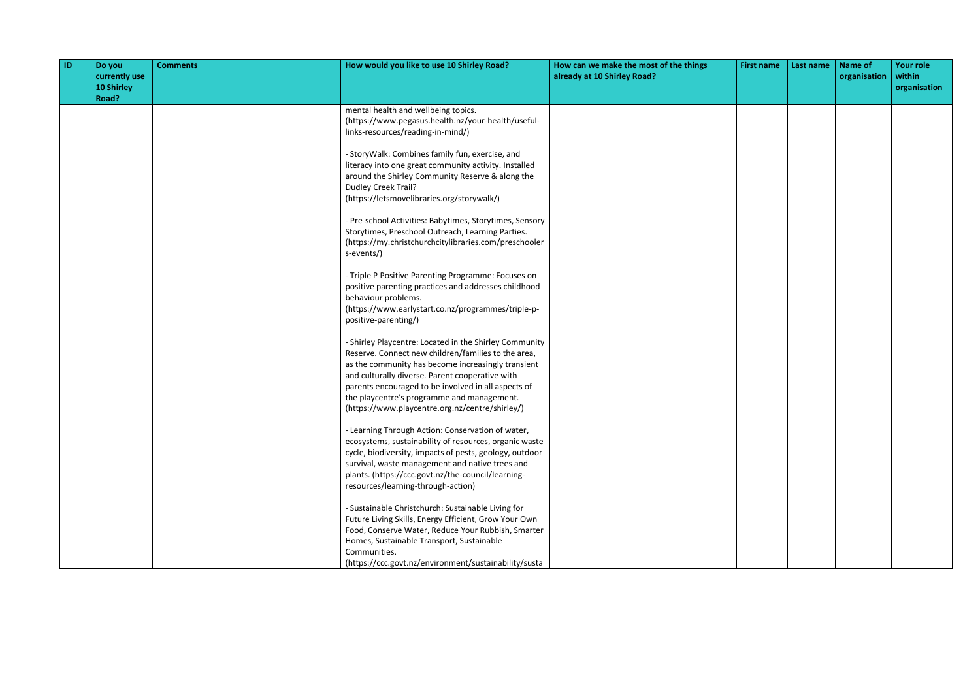| ID | Do you<br>currently use<br>10 Shirley<br>Road? | <b>Comments</b> | How would you like to use 10 Shirley Road?                                                                                                                                                                                                                                                                                                                                     | How can we make the most of the things<br>already at 10 Shirley Road? | <b>First name</b> | Last name | <b>Name of</b><br>organisation | <b>Your role</b><br>within<br>organisation |
|----|------------------------------------------------|-----------------|--------------------------------------------------------------------------------------------------------------------------------------------------------------------------------------------------------------------------------------------------------------------------------------------------------------------------------------------------------------------------------|-----------------------------------------------------------------------|-------------------|-----------|--------------------------------|--------------------------------------------|
|    |                                                |                 | mental health and wellbeing topics.<br>(https://www.pegasus.health.nz/your-health/useful-<br>links-resources/reading-in-mind/)                                                                                                                                                                                                                                                 |                                                                       |                   |           |                                |                                            |
|    |                                                |                 | - StoryWalk: Combines family fun, exercise, and<br>literacy into one great community activity. Installed<br>around the Shirley Community Reserve & along the<br><b>Dudley Creek Trail?</b><br>(https://letsmovelibraries.org/storywalk/)                                                                                                                                       |                                                                       |                   |           |                                |                                            |
|    |                                                |                 | - Pre-school Activities: Babytimes, Storytimes, Sensory<br>Storytimes, Preschool Outreach, Learning Parties.<br>(https://my.christchurchcitylibraries.com/preschooler<br>s-events/)                                                                                                                                                                                            |                                                                       |                   |           |                                |                                            |
|    |                                                |                 | - Triple P Positive Parenting Programme: Focuses on<br>positive parenting practices and addresses childhood<br>behaviour problems.<br>(https://www.earlystart.co.nz/programmes/triple-p-<br>positive-parenting/)                                                                                                                                                               |                                                                       |                   |           |                                |                                            |
|    |                                                |                 | - Shirley Playcentre: Located in the Shirley Community<br>Reserve. Connect new children/families to the area,<br>as the community has become increasingly transient<br>and culturally diverse. Parent cooperative with<br>parents encouraged to be involved in all aspects of<br>the playcentre's programme and management.<br>(https://www.playcentre.org.nz/centre/shirley/) |                                                                       |                   |           |                                |                                            |
|    |                                                |                 | - Learning Through Action: Conservation of water,<br>ecosystems, sustainability of resources, organic waste<br>cycle, biodiversity, impacts of pests, geology, outdoor<br>survival, waste management and native trees and<br>plants. (https://ccc.govt.nz/the-council/learning-<br>resources/learning-through-action)                                                          |                                                                       |                   |           |                                |                                            |
|    |                                                |                 | - Sustainable Christchurch: Sustainable Living for<br>Future Living Skills, Energy Efficient, Grow Your Own<br>Food, Conserve Water, Reduce Your Rubbish, Smarter<br>Homes, Sustainable Transport, Sustainable<br>Communities.<br>(https://ccc.govt.nz/environment/sustainability/susta                                                                                        |                                                                       |                   |           |                                |                                            |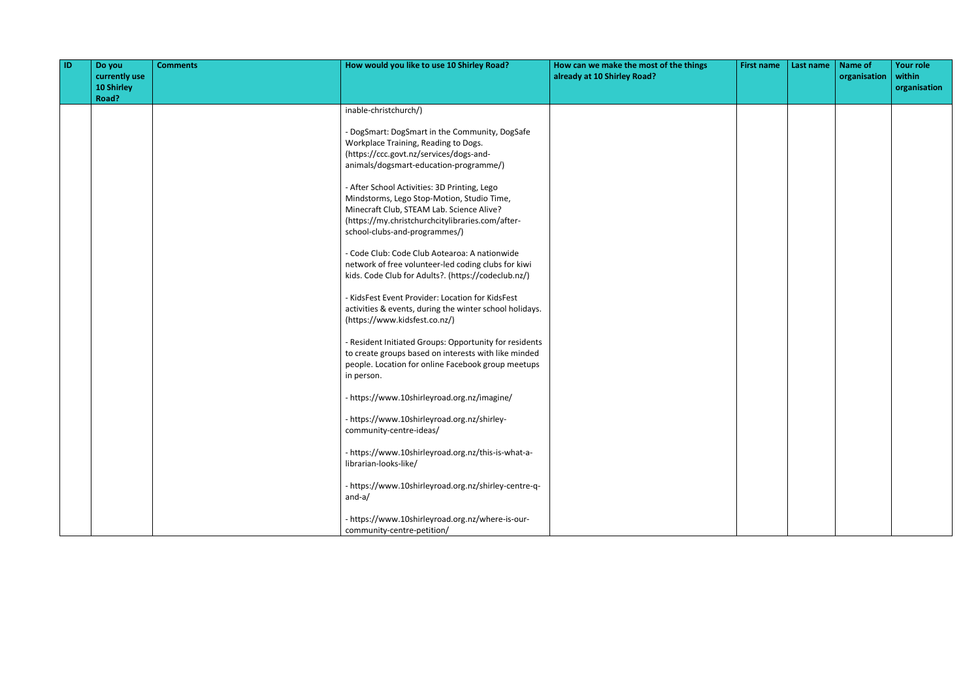| $\overline{1}$ | Do you<br>currently use<br>10 Shirley<br>Road? | <b>Comments</b> | How would you like to use 10 Shirley Road?                                                                                                                                                                                   | How can we make the most of the things<br>already at 10 Shirley Road? | <b>First name</b> | Last name | <b>Name of</b><br>organisation | <b>Your role</b><br>within<br>organisation |
|----------------|------------------------------------------------|-----------------|------------------------------------------------------------------------------------------------------------------------------------------------------------------------------------------------------------------------------|-----------------------------------------------------------------------|-------------------|-----------|--------------------------------|--------------------------------------------|
|                |                                                |                 | inable-christchurch/)                                                                                                                                                                                                        |                                                                       |                   |           |                                |                                            |
|                |                                                |                 | - DogSmart: DogSmart in the Community, DogSafe<br>Workplace Training, Reading to Dogs.<br>(https://ccc.govt.nz/services/dogs-and-<br>animals/dogsmart-education-programme/)                                                  |                                                                       |                   |           |                                |                                            |
|                |                                                |                 | - After School Activities: 3D Printing, Lego<br>Mindstorms, Lego Stop-Motion, Studio Time,<br>Minecraft Club, STEAM Lab. Science Alive?<br>(https://my.christchurchcitylibraries.com/after-<br>school-clubs-and-programmes/) |                                                                       |                   |           |                                |                                            |
|                |                                                |                 | - Code Club: Code Club Aotearoa: A nationwide<br>network of free volunteer-led coding clubs for kiwi<br>kids. Code Club for Adults?. (https://codeclub.nz/)                                                                  |                                                                       |                   |           |                                |                                            |
|                |                                                |                 | - KidsFest Event Provider: Location for KidsFest<br>activities & events, during the winter school holidays.<br>(https://www.kidsfest.co.nz/)                                                                                 |                                                                       |                   |           |                                |                                            |
|                |                                                |                 | - Resident Initiated Groups: Opportunity for residents<br>to create groups based on interests with like minded<br>people. Location for online Facebook group meetups<br>in person.                                           |                                                                       |                   |           |                                |                                            |
|                |                                                |                 | - https://www.10shirleyroad.org.nz/imagine/                                                                                                                                                                                  |                                                                       |                   |           |                                |                                            |
|                |                                                |                 | - https://www.10shirleyroad.org.nz/shirley-<br>community-centre-ideas/                                                                                                                                                       |                                                                       |                   |           |                                |                                            |
|                |                                                |                 | - https://www.10shirleyroad.org.nz/this-is-what-a-<br>librarian-looks-like/                                                                                                                                                  |                                                                       |                   |           |                                |                                            |
|                |                                                |                 | - https://www.10shirleyroad.org.nz/shirley-centre-q-<br>$and-a/$                                                                                                                                                             |                                                                       |                   |           |                                |                                            |
|                |                                                |                 | - https://www.10shirleyroad.org.nz/where-is-our-<br>community-centre-petition/                                                                                                                                               |                                                                       |                   |           |                                |                                            |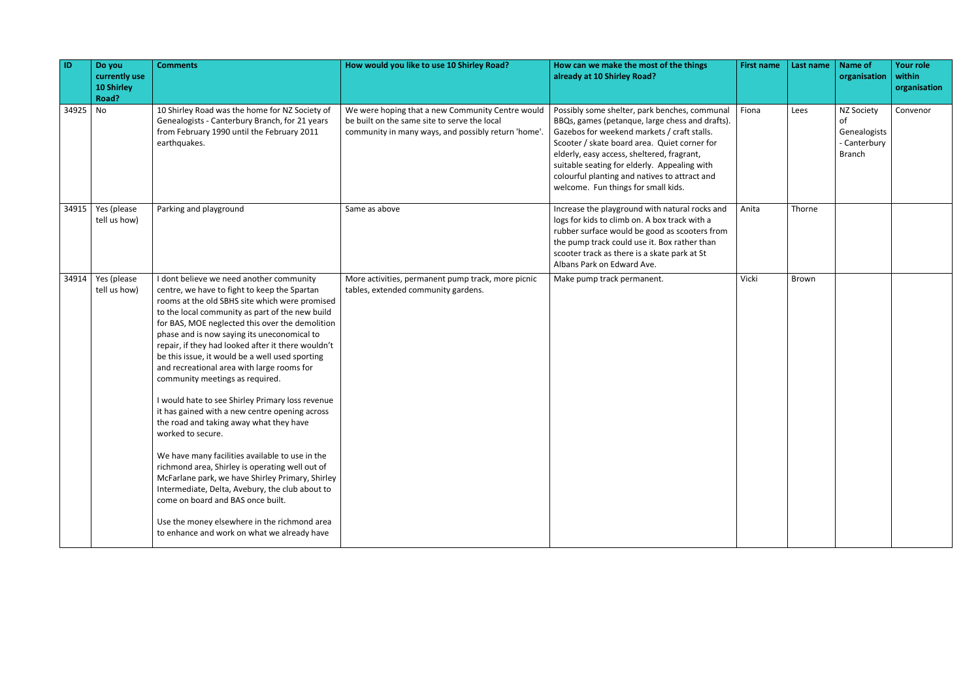| $\vert$ ID | Do you<br>currently use<br>10 Shirley<br>Road? | <b>Comments</b>                                                                                                                                                                                                                                                                                                                                                                                                                                                                                                                                                                                                                                                                                                                                                                                                                                                                                                                                                                                                  | How would you like to use 10 Shirley Road?                                                                                                              | How can we make the most of the things<br>already at 10 Shirley Road?                                                                                                                                                                                                                                                                                                                 | <b>First name</b> | Last name | Name of<br>organisation                                                  | Your role<br>within<br>organisation |
|------------|------------------------------------------------|------------------------------------------------------------------------------------------------------------------------------------------------------------------------------------------------------------------------------------------------------------------------------------------------------------------------------------------------------------------------------------------------------------------------------------------------------------------------------------------------------------------------------------------------------------------------------------------------------------------------------------------------------------------------------------------------------------------------------------------------------------------------------------------------------------------------------------------------------------------------------------------------------------------------------------------------------------------------------------------------------------------|---------------------------------------------------------------------------------------------------------------------------------------------------------|---------------------------------------------------------------------------------------------------------------------------------------------------------------------------------------------------------------------------------------------------------------------------------------------------------------------------------------------------------------------------------------|-------------------|-----------|--------------------------------------------------------------------------|-------------------------------------|
| 34925 No   |                                                | 10 Shirley Road was the home for NZ Society of<br>Genealogists - Canterbury Branch, for 21 years<br>from February 1990 until the February 2011<br>earthquakes.                                                                                                                                                                                                                                                                                                                                                                                                                                                                                                                                                                                                                                                                                                                                                                                                                                                   | We were hoping that a new Community Centre would<br>be built on the same site to serve the local<br>community in many ways, and possibly return 'home'. | Possibly some shelter, park benches, communal<br>BBQs, games (petanque, large chess and drafts).<br>Gazebos for weekend markets / craft stalls.<br>Scooter / skate board area. Quiet corner for<br>elderly, easy access, sheltered, fragrant,<br>suitable seating for elderly. Appealing with<br>colourful planting and natives to attract and<br>welcome. Fun things for small kids. | Fiona             | Lees      | <b>NZ Society</b><br>of<br>Genealogists<br>- Canterbury<br><b>Branch</b> | Convenor                            |
| 34915      | Yes (please<br>tell us how)                    | Parking and playground                                                                                                                                                                                                                                                                                                                                                                                                                                                                                                                                                                                                                                                                                                                                                                                                                                                                                                                                                                                           | Same as above                                                                                                                                           | Increase the playground with natural rocks and<br>logs for kids to climb on. A box track with a<br>rubber surface would be good as scooters from<br>the pump track could use it. Box rather than<br>scooter track as there is a skate park at St<br>Albans Park on Edward Ave.                                                                                                        | Anita             | Thorne    |                                                                          |                                     |
| 34914      | Yes (please<br>tell us how)                    | I dont believe we need another community<br>centre, we have to fight to keep the Spartan<br>rooms at the old SBHS site which were promised<br>to the local community as part of the new build<br>for BAS, MOE neglected this over the demolition<br>phase and is now saying its uneconomical to<br>repair, if they had looked after it there wouldn't<br>be this issue, it would be a well used sporting<br>and recreational area with large rooms for<br>community meetings as required.<br>I would hate to see Shirley Primary loss revenue<br>it has gained with a new centre opening across<br>the road and taking away what they have<br>worked to secure.<br>We have many facilities available to use in the<br>richmond area, Shirley is operating well out of<br>McFarlane park, we have Shirley Primary, Shirley<br>Intermediate, Delta, Avebury, the club about to<br>come on board and BAS once built.<br>Use the money elsewhere in the richmond area<br>to enhance and work on what we already have | More activities, permanent pump track, more picnic<br>tables, extended community gardens.                                                               | Make pump track permanent.                                                                                                                                                                                                                                                                                                                                                            | Vicki             | Brown     |                                                                          |                                     |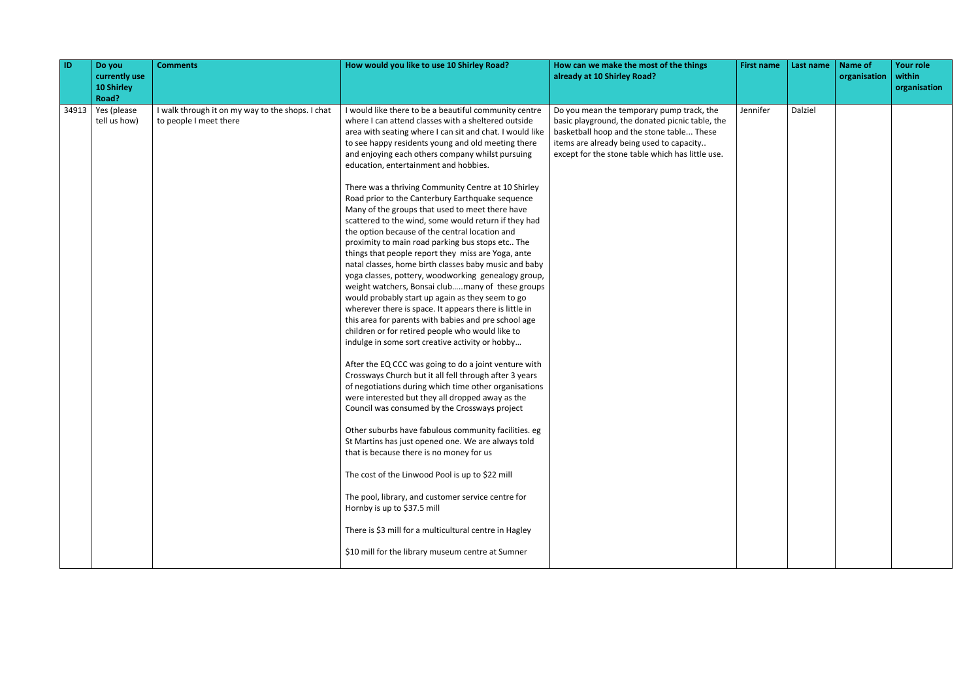| <b>ID</b> | Do you<br>currently use<br><b>10 Shirley</b><br>Road? | <b>Comments</b>                                                            | How would you like to use 10 Shirley Road?                                                                                                                                                                                                                                                                                                                                                                                                                                                                                                                                                                                                                                                                                                                                                                                                                                                                                                                                                                                                                                                                                                                                                                                                                                                                                                                                                                                                                                                                                                                                                                                                                                                                                                                                                                                                                       | How can we make the most of the things<br>already at 10 Shirley Road?                                                                                                                                                                     | <b>First name</b> | Last name | <b>Name of</b><br>organisation | <b>Your role</b><br>within<br>organisation |
|-----------|-------------------------------------------------------|----------------------------------------------------------------------------|------------------------------------------------------------------------------------------------------------------------------------------------------------------------------------------------------------------------------------------------------------------------------------------------------------------------------------------------------------------------------------------------------------------------------------------------------------------------------------------------------------------------------------------------------------------------------------------------------------------------------------------------------------------------------------------------------------------------------------------------------------------------------------------------------------------------------------------------------------------------------------------------------------------------------------------------------------------------------------------------------------------------------------------------------------------------------------------------------------------------------------------------------------------------------------------------------------------------------------------------------------------------------------------------------------------------------------------------------------------------------------------------------------------------------------------------------------------------------------------------------------------------------------------------------------------------------------------------------------------------------------------------------------------------------------------------------------------------------------------------------------------------------------------------------------------------------------------------------------------|-------------------------------------------------------------------------------------------------------------------------------------------------------------------------------------------------------------------------------------------|-------------------|-----------|--------------------------------|--------------------------------------------|
| 34913     | Yes (please<br>tell us how)                           | I walk through it on my way to the shops. I chat<br>to people I meet there | I would like there to be a beautiful community centre<br>where I can attend classes with a sheltered outside<br>area with seating where I can sit and chat. I would like<br>to see happy residents young and old meeting there<br>and enjoying each others company whilst pursuing<br>education, entertainment and hobbies.<br>There was a thriving Community Centre at 10 Shirley<br>Road prior to the Canterbury Earthquake sequence<br>Many of the groups that used to meet there have<br>scattered to the wind, some would return if they had<br>the option because of the central location and<br>proximity to main road parking bus stops etc The<br>things that people report they miss are Yoga, ante<br>natal classes, home birth classes baby music and baby<br>yoga classes, pottery, woodworking genealogy group,<br>weight watchers, Bonsai clubmany of these groups<br>would probably start up again as they seem to go<br>wherever there is space. It appears there is little in<br>this area for parents with babies and pre school age<br>children or for retired people who would like to<br>indulge in some sort creative activity or hobby<br>After the EQ CCC was going to do a joint venture with<br>Crossways Church but it all fell through after 3 years<br>of negotiations during which time other organisations<br>were interested but they all dropped away as the<br>Council was consumed by the Crossways project<br>Other suburbs have fabulous community facilities. eg<br>St Martins has just opened one. We are always told<br>that is because there is no money for us<br>The cost of the Linwood Pool is up to \$22 mill<br>The pool, library, and customer service centre for<br>Hornby is up to \$37.5 mill<br>There is \$3 mill for a multicultural centre in Hagley<br>\$10 mill for the library museum centre at Sumner | Do you mean the temporary pump track, the<br>basic playground, the donated picnic table, the<br>basketball hoop and the stone table These<br>items are already being used to capacity<br>except for the stone table which has little use. | Jennifer          | Dalziel   |                                |                                            |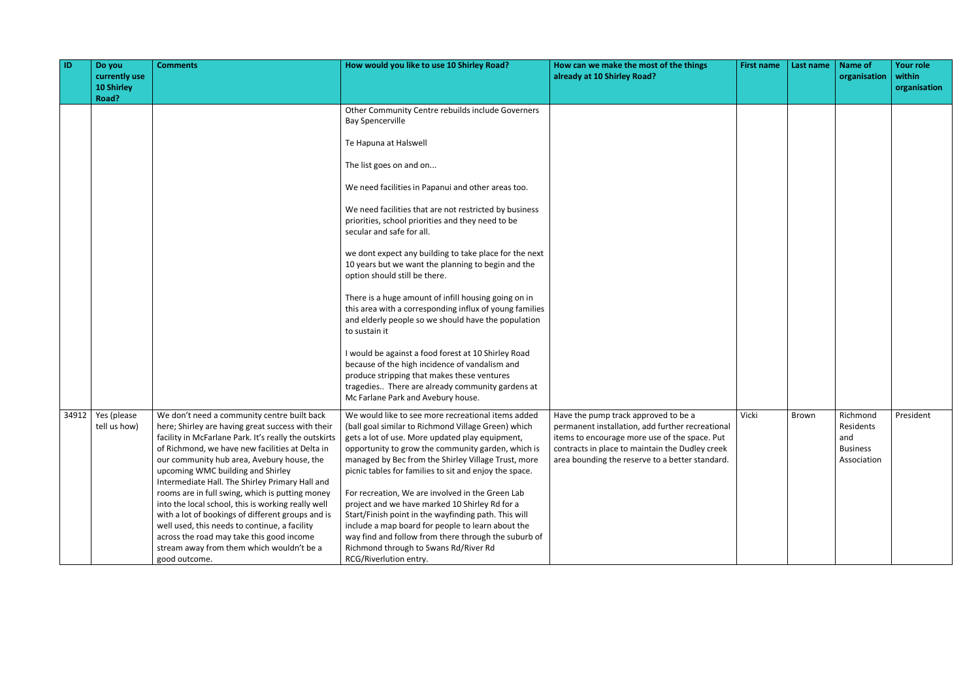| <b>ID</b> | Do you<br>currently use<br><b>10 Shirley</b><br>Road? | <b>Comments</b>                                                                                                                                                                                                                                                                                                                                                                                                                                                                                                                                                                                                                                                              | How would you like to use 10 Shirley Road?                                                                                                                                                                                                                                                                                                                                                                                                                                                                                                                                                                                                                                                                                                                                                                                                                                                                                       | How can we make the most of the things<br>already at 10 Shirley Road?                                                                                                                                                                           | <b>First name</b> | Last name | <b>Name of</b><br>organisation                                 | <b>Your role</b><br>within<br>organisation |
|-----------|-------------------------------------------------------|------------------------------------------------------------------------------------------------------------------------------------------------------------------------------------------------------------------------------------------------------------------------------------------------------------------------------------------------------------------------------------------------------------------------------------------------------------------------------------------------------------------------------------------------------------------------------------------------------------------------------------------------------------------------------|----------------------------------------------------------------------------------------------------------------------------------------------------------------------------------------------------------------------------------------------------------------------------------------------------------------------------------------------------------------------------------------------------------------------------------------------------------------------------------------------------------------------------------------------------------------------------------------------------------------------------------------------------------------------------------------------------------------------------------------------------------------------------------------------------------------------------------------------------------------------------------------------------------------------------------|-------------------------------------------------------------------------------------------------------------------------------------------------------------------------------------------------------------------------------------------------|-------------------|-----------|----------------------------------------------------------------|--------------------------------------------|
|           |                                                       |                                                                                                                                                                                                                                                                                                                                                                                                                                                                                                                                                                                                                                                                              | Other Community Centre rebuilds include Governers<br><b>Bay Spencerville</b><br>Te Hapuna at Halswell<br>The list goes on and on<br>We need facilities in Papanui and other areas too.<br>We need facilities that are not restricted by business<br>priorities, school priorities and they need to be<br>secular and safe for all.<br>we dont expect any building to take place for the next<br>10 years but we want the planning to begin and the<br>option should still be there.<br>There is a huge amount of infill housing going on in<br>this area with a corresponding influx of young families<br>and elderly people so we should have the population<br>to sustain it<br>I would be against a food forest at 10 Shirley Road<br>because of the high incidence of vandalism and<br>produce stripping that makes these ventures<br>tragedies There are already community gardens at<br>Mc Farlane Park and Avebury house. |                                                                                                                                                                                                                                                 |                   |           |                                                                |                                            |
| 34912     | Yes (please<br>tell us how)                           | We don't need a community centre built back<br>here; Shirley are having great success with their<br>facility in McFarlane Park. It's really the outskirts<br>of Richmond, we have new facilities at Delta in<br>our community hub area, Avebury house, the<br>upcoming WMC building and Shirley<br>Intermediate Hall. The Shirley Primary Hall and<br>rooms are in full swing, which is putting money<br>into the local school, this is working really well<br>with a lot of bookings of different groups and is<br>well used, this needs to continue, a facility<br>across the road may take this good income<br>stream away from them which wouldn't be a<br>good outcome. | We would like to see more recreational items added<br>(ball goal similar to Richmond Village Green) which<br>gets a lot of use. More updated play equipment,<br>opportunity to grow the community garden, which is<br>managed by Bec from the Shirley Village Trust, more<br>picnic tables for families to sit and enjoy the space.<br>For recreation, We are involved in the Green Lab<br>project and we have marked 10 Shirley Rd for a<br>Start/Finish point in the wayfinding path. This will<br>include a map board for people to learn about the<br>way find and follow from there through the suburb of<br>Richmond through to Swans Rd/River Rd<br>RCG/Riverlution entry.                                                                                                                                                                                                                                                | Have the pump track approved to be a<br>permanent installation, add further recreational<br>items to encourage more use of the space. Put<br>contracts in place to maintain the Dudley creek<br>area bounding the reserve to a better standard. | Vicki             | Brown     | Richmond<br>Residents<br>and<br><b>Business</b><br>Association | President                                  |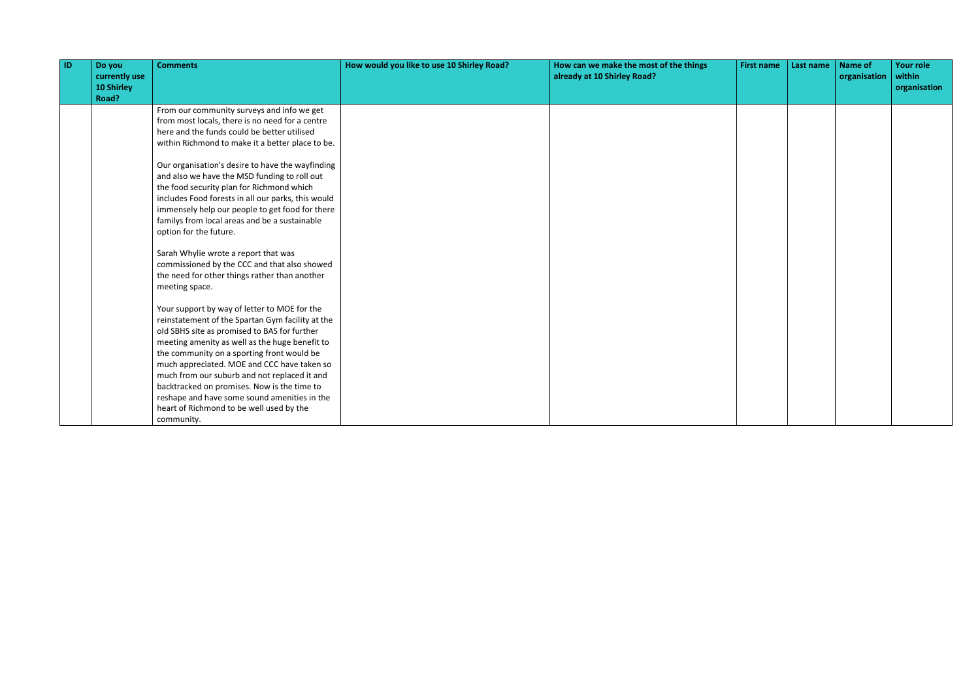| <b>ID</b> | Do you<br>currently use | <b>Comments</b>                                    | How would you like to use 10 Shirley Road? | How can we make the most of the things<br>already at 10 Shirley Road? | <b>First name</b> | Last name | <b>Name of</b><br>organisation | <b>Your role</b><br>within |
|-----------|-------------------------|----------------------------------------------------|--------------------------------------------|-----------------------------------------------------------------------|-------------------|-----------|--------------------------------|----------------------------|
|           | 10 Shirley              |                                                    |                                            |                                                                       |                   |           |                                | organisation               |
|           | Road?                   |                                                    |                                            |                                                                       |                   |           |                                |                            |
|           |                         | From our community surveys and info we get         |                                            |                                                                       |                   |           |                                |                            |
|           |                         | from most locals, there is no need for a centre    |                                            |                                                                       |                   |           |                                |                            |
|           |                         | here and the funds could be better utilised        |                                            |                                                                       |                   |           |                                |                            |
|           |                         | within Richmond to make it a better place to be.   |                                            |                                                                       |                   |           |                                |                            |
|           |                         | Our organisation's desire to have the wayfinding   |                                            |                                                                       |                   |           |                                |                            |
|           |                         | and also we have the MSD funding to roll out       |                                            |                                                                       |                   |           |                                |                            |
|           |                         | the food security plan for Richmond which          |                                            |                                                                       |                   |           |                                |                            |
|           |                         | includes Food forests in all our parks, this would |                                            |                                                                       |                   |           |                                |                            |
|           |                         | immensely help our people to get food for there    |                                            |                                                                       |                   |           |                                |                            |
|           |                         | familys from local areas and be a sustainable      |                                            |                                                                       |                   |           |                                |                            |
|           |                         | option for the future.                             |                                            |                                                                       |                   |           |                                |                            |
|           |                         | Sarah Whylie wrote a report that was               |                                            |                                                                       |                   |           |                                |                            |
|           |                         | commissioned by the CCC and that also showed       |                                            |                                                                       |                   |           |                                |                            |
|           |                         | the need for other things rather than another      |                                            |                                                                       |                   |           |                                |                            |
|           |                         | meeting space.                                     |                                            |                                                                       |                   |           |                                |                            |
|           |                         | Your support by way of letter to MOE for the       |                                            |                                                                       |                   |           |                                |                            |
|           |                         | reinstatement of the Spartan Gym facility at the   |                                            |                                                                       |                   |           |                                |                            |
|           |                         | old SBHS site as promised to BAS for further       |                                            |                                                                       |                   |           |                                |                            |
|           |                         | meeting amenity as well as the huge benefit to     |                                            |                                                                       |                   |           |                                |                            |
|           |                         | the community on a sporting front would be         |                                            |                                                                       |                   |           |                                |                            |
|           |                         | much appreciated. MOE and CCC have taken so        |                                            |                                                                       |                   |           |                                |                            |
|           |                         | much from our suburb and not replaced it and       |                                            |                                                                       |                   |           |                                |                            |
|           |                         | backtracked on promises. Now is the time to        |                                            |                                                                       |                   |           |                                |                            |
|           |                         | reshape and have some sound amenities in the       |                                            |                                                                       |                   |           |                                |                            |
|           |                         | heart of Richmond to be well used by the           |                                            |                                                                       |                   |           |                                |                            |
|           |                         | community.                                         |                                            |                                                                       |                   |           |                                |                            |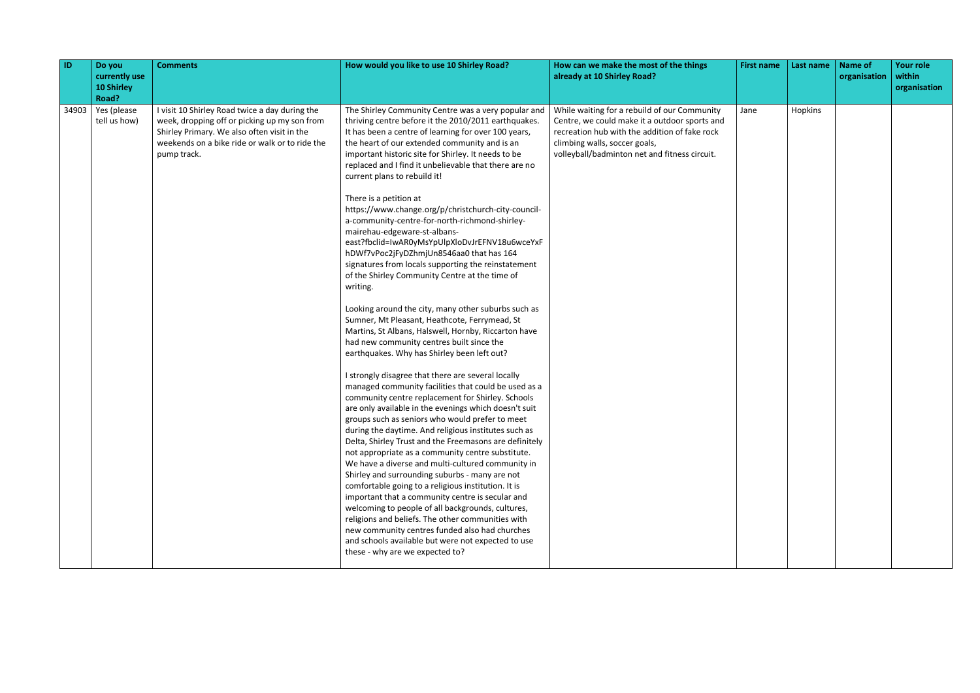| ID    | Do you<br>currently use<br><b>10 Shirley</b><br>Road? | <b>Comments</b>                                                                                                                                                                                                | How would you like to use 10 Shirley Road?                                                                                                                                                                                                                                                                                                                                                                                                                                                                                                                                                                                                                                                                                                                                                                                                                                                                                                                                                                                                                                                                                                                                                                                                                                                                                                                                                                                                                                                                                                                                                                                                                                                                                                                                                                                                                                                                                                          | How can we make the most of the things<br>already at 10 Shirley Road?                                                                                                                                                            | <b>First name</b> | Last name | <b>Name of</b><br>organisation | <b>Your role</b><br>within<br>organisation |
|-------|-------------------------------------------------------|----------------------------------------------------------------------------------------------------------------------------------------------------------------------------------------------------------------|-----------------------------------------------------------------------------------------------------------------------------------------------------------------------------------------------------------------------------------------------------------------------------------------------------------------------------------------------------------------------------------------------------------------------------------------------------------------------------------------------------------------------------------------------------------------------------------------------------------------------------------------------------------------------------------------------------------------------------------------------------------------------------------------------------------------------------------------------------------------------------------------------------------------------------------------------------------------------------------------------------------------------------------------------------------------------------------------------------------------------------------------------------------------------------------------------------------------------------------------------------------------------------------------------------------------------------------------------------------------------------------------------------------------------------------------------------------------------------------------------------------------------------------------------------------------------------------------------------------------------------------------------------------------------------------------------------------------------------------------------------------------------------------------------------------------------------------------------------------------------------------------------------------------------------------------------------|----------------------------------------------------------------------------------------------------------------------------------------------------------------------------------------------------------------------------------|-------------------|-----------|--------------------------------|--------------------------------------------|
| 34903 | Yes (please<br>tell us how)                           | I visit 10 Shirley Road twice a day during the<br>week, dropping off or picking up my son from<br>Shirley Primary. We also often visit in the<br>weekends on a bike ride or walk or to ride the<br>pump track. | The Shirley Community Centre was a very popular and<br>thriving centre before it the 2010/2011 earthquakes.<br>It has been a centre of learning for over 100 years,<br>the heart of our extended community and is an<br>important historic site for Shirley. It needs to be<br>replaced and I find it unbelievable that there are no<br>current plans to rebuild it!<br>There is a petition at<br>https://www.change.org/p/christchurch-city-council-<br>a-community-centre-for-north-richmond-shirley-<br>mairehau-edgeware-st-albans-<br>east?fbclid=IwAR0yMsYpUlpXloDvJrEFNV18u6wceYxF<br>hDWf7vPoc2jFyDZhmjUn8546aa0 that has 164<br>signatures from locals supporting the reinstatement<br>of the Shirley Community Centre at the time of<br>writing.<br>Looking around the city, many other suburbs such as<br>Sumner, Mt Pleasant, Heathcote, Ferrymead, St<br>Martins, St Albans, Halswell, Hornby, Riccarton have<br>had new community centres built since the<br>earthquakes. Why has Shirley been left out?<br>I strongly disagree that there are several locally<br>managed community facilities that could be used as a<br>community centre replacement for Shirley. Schools<br>are only available in the evenings which doesn't suit<br>groups such as seniors who would prefer to meet<br>during the daytime. And religious institutes such as<br>Delta, Shirley Trust and the Freemasons are definitely<br>not appropriate as a community centre substitute.<br>We have a diverse and multi-cultured community in<br>Shirley and surrounding suburbs - many are not<br>comfortable going to a religious institution. It is<br>important that a community centre is secular and<br>welcoming to people of all backgrounds, cultures,<br>religions and beliefs. The other communities with<br>new community centres funded also had churches<br>and schools available but were not expected to use<br>these - why are we expected to? | While waiting for a rebuild of our Community<br>Centre, we could make it a outdoor sports and<br>recreation hub with the addition of fake rock<br>climbing walls, soccer goals,<br>volleyball/badminton net and fitness circuit. | Jane              | Hopkins   |                                |                                            |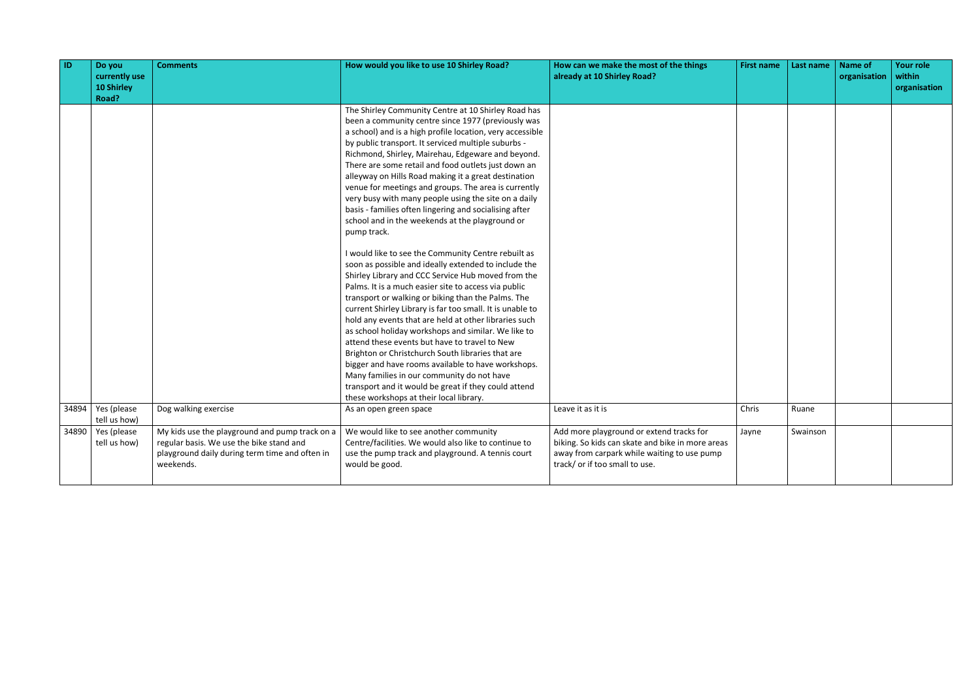| <b>ID</b> | Do you<br>currently use<br>10 Shirley<br>Road? | <b>Comments</b>                                                                                                                                           | How would you like to use 10 Shirley Road?                                                                                                                                                                                                                                                                                                                                                                                                                                                                                                                                                                                                                                                                                                                                                                                                                                                                                                                                                                                                                                                                                                                                                                                                                                | How can we make the most of the things<br>already at 10 Shirley Road?                                                                                                         | <b>First name</b> | Last name | <b>Name of</b><br>organisation | <b>Your role</b><br>within<br>organisation |
|-----------|------------------------------------------------|-----------------------------------------------------------------------------------------------------------------------------------------------------------|---------------------------------------------------------------------------------------------------------------------------------------------------------------------------------------------------------------------------------------------------------------------------------------------------------------------------------------------------------------------------------------------------------------------------------------------------------------------------------------------------------------------------------------------------------------------------------------------------------------------------------------------------------------------------------------------------------------------------------------------------------------------------------------------------------------------------------------------------------------------------------------------------------------------------------------------------------------------------------------------------------------------------------------------------------------------------------------------------------------------------------------------------------------------------------------------------------------------------------------------------------------------------|-------------------------------------------------------------------------------------------------------------------------------------------------------------------------------|-------------------|-----------|--------------------------------|--------------------------------------------|
|           |                                                |                                                                                                                                                           | The Shirley Community Centre at 10 Shirley Road has<br>been a community centre since 1977 (previously was<br>a school) and is a high profile location, very accessible<br>by public transport. It serviced multiple suburbs -<br>Richmond, Shirley, Mairehau, Edgeware and beyond.<br>There are some retail and food outlets just down an<br>alleyway on Hills Road making it a great destination<br>venue for meetings and groups. The area is currently<br>very busy with many people using the site on a daily<br>basis - families often lingering and socialising after<br>school and in the weekends at the playground or<br>pump track.<br>I would like to see the Community Centre rebuilt as<br>soon as possible and ideally extended to include the<br>Shirley Library and CCC Service Hub moved from the<br>Palms. It is a much easier site to access via public<br>transport or walking or biking than the Palms. The<br>current Shirley Library is far too small. It is unable to<br>hold any events that are held at other libraries such<br>as school holiday workshops and similar. We like to<br>attend these events but have to travel to New<br>Brighton or Christchurch South libraries that are<br>bigger and have rooms available to have workshops. |                                                                                                                                                                               |                   |           |                                |                                            |
|           |                                                |                                                                                                                                                           | Many families in our community do not have<br>transport and it would be great if they could attend<br>these workshops at their local library.                                                                                                                                                                                                                                                                                                                                                                                                                                                                                                                                                                                                                                                                                                                                                                                                                                                                                                                                                                                                                                                                                                                             |                                                                                                                                                                               |                   |           |                                |                                            |
| 34894     | Yes (please<br>tell us how)                    | Dog walking exercise                                                                                                                                      | As an open green space                                                                                                                                                                                                                                                                                                                                                                                                                                                                                                                                                                                                                                                                                                                                                                                                                                                                                                                                                                                                                                                                                                                                                                                                                                                    | Leave it as it is                                                                                                                                                             | Chris             | Ruane     |                                |                                            |
| 34890     | Yes (please<br>tell us how)                    | My kids use the playground and pump track on a<br>regular basis. We use the bike stand and<br>playground daily during term time and often in<br>weekends. | We would like to see another community<br>Centre/facilities. We would also like to continue to<br>use the pump track and playground. A tennis court<br>would be good.                                                                                                                                                                                                                                                                                                                                                                                                                                                                                                                                                                                                                                                                                                                                                                                                                                                                                                                                                                                                                                                                                                     | Add more playground or extend tracks for<br>biking. So kids can skate and bike in more areas<br>away from carpark while waiting to use pump<br>track/ or if too small to use. | Jayne             | Swainson  |                                |                                            |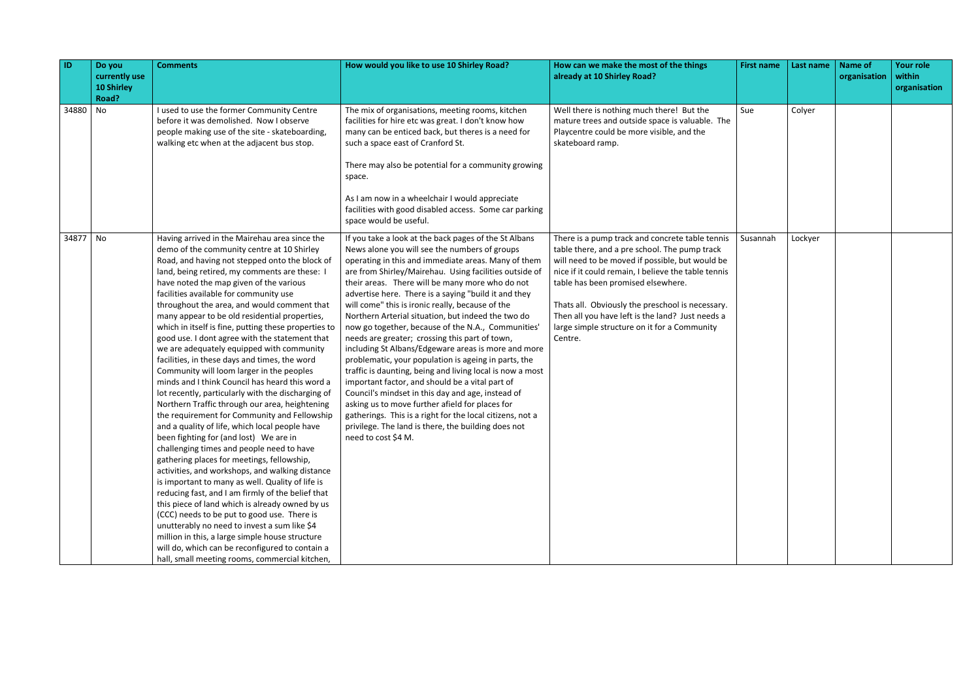| ID       | Do you<br>currently use<br><b>10 Shirley</b><br>Road? | <b>Comments</b>                                                                                                                                                                                                                                                                                                                                                                                                                                                                                                                                                                                                                                                                                                                                                                                                                                                                                                                                                                                                                                                                                                                                                                                                                                                                                                                                                                                                                                                                                                  | How would you like to use 10 Shirley Road?                                                                                                                                                                                                                                                                                                                                                                                                                                                                                                                                                                                                                                                                                                                                                                                                                                                                                                                                                                                             | How can we make the most of the things<br>already at 10 Shirley Road?                                                                                                                                                                                                                                                                                                                                               | <b>First name</b> | Last name | <b>Name of</b><br>organisation | <b>Your role</b><br>within<br>organisation |
|----------|-------------------------------------------------------|------------------------------------------------------------------------------------------------------------------------------------------------------------------------------------------------------------------------------------------------------------------------------------------------------------------------------------------------------------------------------------------------------------------------------------------------------------------------------------------------------------------------------------------------------------------------------------------------------------------------------------------------------------------------------------------------------------------------------------------------------------------------------------------------------------------------------------------------------------------------------------------------------------------------------------------------------------------------------------------------------------------------------------------------------------------------------------------------------------------------------------------------------------------------------------------------------------------------------------------------------------------------------------------------------------------------------------------------------------------------------------------------------------------------------------------------------------------------------------------------------------------|----------------------------------------------------------------------------------------------------------------------------------------------------------------------------------------------------------------------------------------------------------------------------------------------------------------------------------------------------------------------------------------------------------------------------------------------------------------------------------------------------------------------------------------------------------------------------------------------------------------------------------------------------------------------------------------------------------------------------------------------------------------------------------------------------------------------------------------------------------------------------------------------------------------------------------------------------------------------------------------------------------------------------------------|---------------------------------------------------------------------------------------------------------------------------------------------------------------------------------------------------------------------------------------------------------------------------------------------------------------------------------------------------------------------------------------------------------------------|-------------------|-----------|--------------------------------|--------------------------------------------|
| 34880    | No                                                    | I used to use the former Community Centre<br>before it was demolished. Now I observe<br>people making use of the site - skateboarding,<br>walking etc when at the adjacent bus stop.                                                                                                                                                                                                                                                                                                                                                                                                                                                                                                                                                                                                                                                                                                                                                                                                                                                                                                                                                                                                                                                                                                                                                                                                                                                                                                                             | The mix of organisations, meeting rooms, kitchen<br>facilities for hire etc was great. I don't know how<br>many can be enticed back, but theres is a need for<br>such a space east of Cranford St.<br>There may also be potential for a community growing<br>space.<br>As I am now in a wheelchair I would appreciate<br>facilities with good disabled access. Some car parking<br>space would be useful.                                                                                                                                                                                                                                                                                                                                                                                                                                                                                                                                                                                                                              | Well there is nothing much there! But the<br>mature trees and outside space is valuable. The<br>Playcentre could be more visible, and the<br>skateboard ramp.                                                                                                                                                                                                                                                       | Sue               | Colyer    |                                |                                            |
| 34877 No |                                                       | Having arrived in the Mairehau area since the<br>demo of the community centre at 10 Shirley<br>Road, and having not stepped onto the block of<br>land, being retired, my comments are these: I<br>have noted the map given of the various<br>facilities available for community use<br>throughout the area, and would comment that<br>many appear to be old residential properties,<br>which in itself is fine, putting these properties to<br>good use. I dont agree with the statement that<br>we are adequately equipped with community<br>facilities, in these days and times, the word<br>Community will loom larger in the peoples<br>minds and I think Council has heard this word a<br>lot recently, particularly with the discharging of<br>Northern Traffic through our area, heightening<br>the requirement for Community and Fellowship<br>and a quality of life, which local people have<br>been fighting for (and lost) We are in<br>challenging times and people need to have<br>gathering places for meetings, fellowship,<br>activities, and workshops, and walking distance<br>is important to many as well. Quality of life is<br>reducing fast, and I am firmly of the belief that<br>this piece of land which is already owned by us<br>(CCC) needs to be put to good use. There is<br>unutterably no need to invest a sum like \$4<br>million in this, a large simple house structure<br>will do, which can be reconfigured to contain a<br>hall, small meeting rooms, commercial kitchen, | If you take a look at the back pages of the St Albans<br>News alone you will see the numbers of groups<br>operating in this and immediate areas. Many of them<br>are from Shirley/Mairehau. Using facilities outside of<br>their areas. There will be many more who do not<br>advertise here. There is a saying "build it and they<br>will come" this is ironic really, because of the<br>Northern Arterial situation, but indeed the two do<br>now go together, because of the N.A., Communities'<br>needs are greater; crossing this part of town,<br>including St Albans/Edgeware areas is more and more<br>problematic, your population is ageing in parts, the<br>traffic is daunting, being and living local is now a most<br>important factor, and should be a vital part of<br>Council's mindset in this day and age, instead of<br>asking us to move further afield for places for<br>gatherings. This is a right for the local citizens, not a<br>privilege. The land is there, the building does not<br>need to cost \$4 M. | There is a pump track and concrete table tennis<br>table there, and a pre school. The pump track<br>will need to be moved if possible, but would be<br>nice if it could remain, I believe the table tennis<br>table has been promised elsewhere.<br>Thats all. Obviously the preschool is necessary.<br>Then all you have left is the land? Just needs a<br>large simple structure on it for a Community<br>Centre. | Susannah          | Lockyer   |                                |                                            |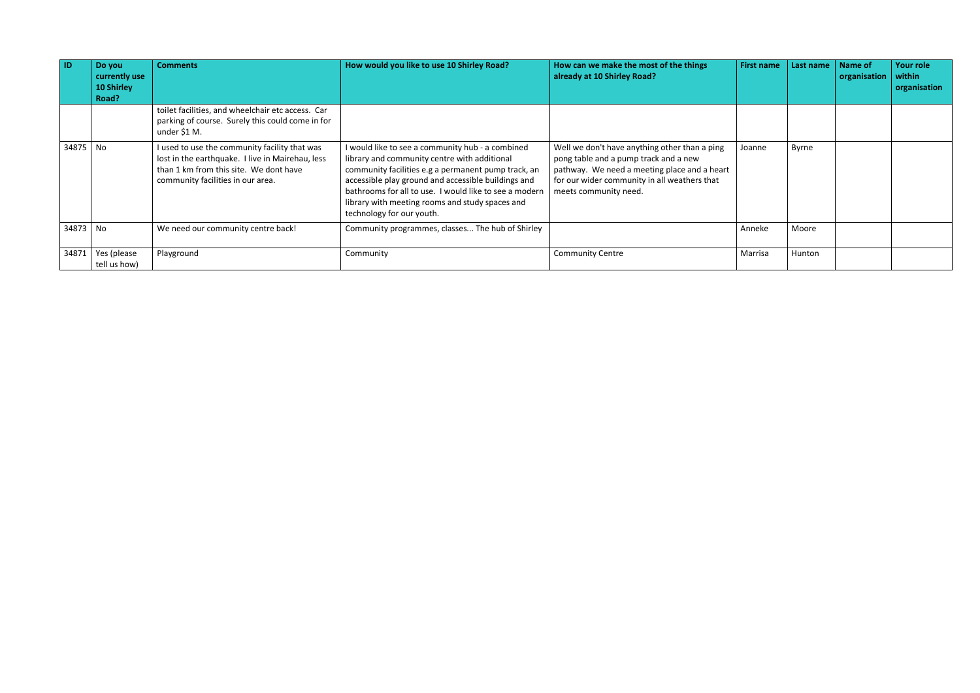| $\blacksquare$ | Do you<br>currently use<br>10 Shirley<br>Road? | <b>Comments</b>                                                                                                                                                                  | How would you like to use 10 Shirley Road?                                                                                                                                                                                                                                                                                                               | How can we make the most of the things<br>already at 10 Shirley Road?                                                                                                                                           | <b>First name</b> | Last name | Name of<br>organisation | Your role<br>within<br>organisation |
|----------------|------------------------------------------------|----------------------------------------------------------------------------------------------------------------------------------------------------------------------------------|----------------------------------------------------------------------------------------------------------------------------------------------------------------------------------------------------------------------------------------------------------------------------------------------------------------------------------------------------------|-----------------------------------------------------------------------------------------------------------------------------------------------------------------------------------------------------------------|-------------------|-----------|-------------------------|-------------------------------------|
|                |                                                | toilet facilities, and wheelchair etc access. Car<br>parking of course. Surely this could come in for<br>under \$1 M.                                                            |                                                                                                                                                                                                                                                                                                                                                          |                                                                                                                                                                                                                 |                   |           |                         |                                     |
| 34875 No       |                                                | I used to use the community facility that was<br>lost in the earthquake. I live in Mairehau, less<br>than 1 km from this site. We dont have<br>community facilities in our area. | I would like to see a community hub - a combined<br>library and community centre with additional<br>community facilities e.g a permanent pump track, an<br>accessible play ground and accessible buildings and<br>bathrooms for all to use. I would like to see a modern<br>library with meeting rooms and study spaces and<br>technology for our youth. | Well we don't have anything other than a ping<br>pong table and a pump track and a new<br>pathway. We need a meeting place and a heart<br>for our wider community in all weathers that<br>meets community need. | Joanne            | Byrne     |                         |                                     |
| 34873 No       |                                                | We need our community centre back!                                                                                                                                               | Community programmes, classes The hub of Shirley                                                                                                                                                                                                                                                                                                         |                                                                                                                                                                                                                 | Anneke            | Moore     |                         |                                     |
| 34871          | Yes (please<br>tell us how)                    | Playground                                                                                                                                                                       | Community                                                                                                                                                                                                                                                                                                                                                | <b>Community Centre</b>                                                                                                                                                                                         | Marrisa           | Hunton    |                         |                                     |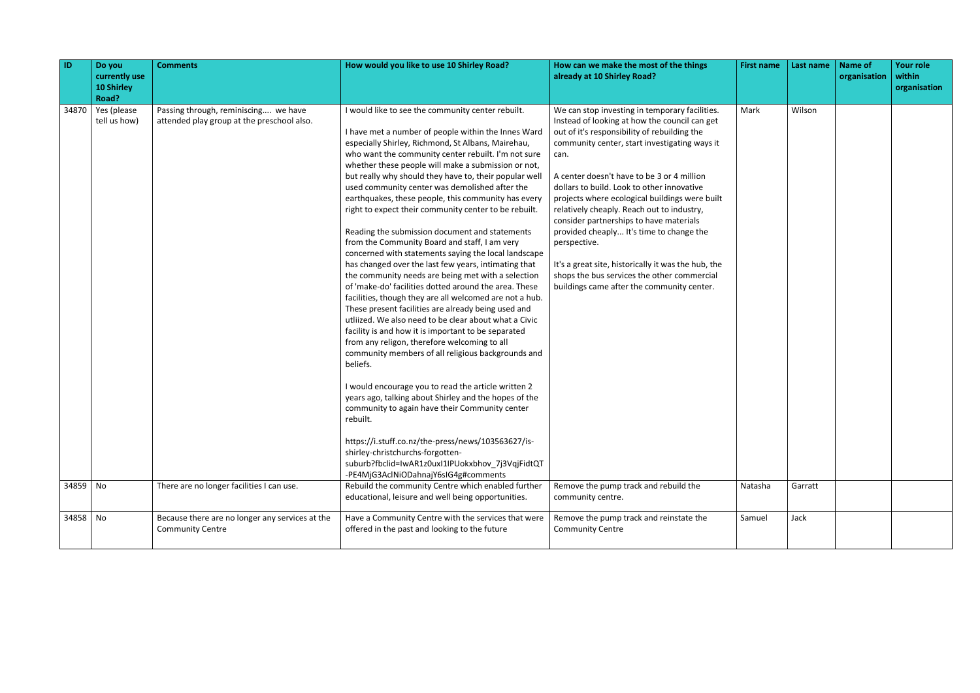| ID       | Do you<br>currently use<br><b>10 Shirley</b><br>Road? | <b>Comments</b>                                                                    | How would you like to use 10 Shirley Road?                                                                                                                                                                                                                                                                                                                                                                                                                                                                                                                                                                                                                                                                                                                                                                                                                                                                                                                                                                                                                                                                                                                                                                                                                                                                                                                                                                                                                                                                                 | How can we make the most of the things<br>already at 10 Shirley Road?                                                                                                                                                                                                                                                                                                                                                                                                                                                                                                                                                                                           | <b>First name</b> | Last name | <b>Name of</b><br>organisation | <b>Your role</b><br>within<br>organisation |
|----------|-------------------------------------------------------|------------------------------------------------------------------------------------|----------------------------------------------------------------------------------------------------------------------------------------------------------------------------------------------------------------------------------------------------------------------------------------------------------------------------------------------------------------------------------------------------------------------------------------------------------------------------------------------------------------------------------------------------------------------------------------------------------------------------------------------------------------------------------------------------------------------------------------------------------------------------------------------------------------------------------------------------------------------------------------------------------------------------------------------------------------------------------------------------------------------------------------------------------------------------------------------------------------------------------------------------------------------------------------------------------------------------------------------------------------------------------------------------------------------------------------------------------------------------------------------------------------------------------------------------------------------------------------------------------------------------|-----------------------------------------------------------------------------------------------------------------------------------------------------------------------------------------------------------------------------------------------------------------------------------------------------------------------------------------------------------------------------------------------------------------------------------------------------------------------------------------------------------------------------------------------------------------------------------------------------------------------------------------------------------------|-------------------|-----------|--------------------------------|--------------------------------------------|
| 34870    | Yes (please<br>tell us how)                           | Passing through, reminiscing we have<br>attended play group at the preschool also. | I would like to see the community center rebuilt.<br>I have met a number of people within the Innes Ward<br>especially Shirley, Richmond, St Albans, Mairehau,<br>who want the community center rebuilt. I'm not sure<br>whether these people will make a submission or not,<br>but really why should they have to, their popular well<br>used community center was demolished after the<br>earthquakes, these people, this community has every<br>right to expect their community center to be rebuilt.<br>Reading the submission document and statements<br>from the Community Board and staff, I am very<br>concerned with statements saying the local landscape<br>has changed over the last few years, intimating that<br>the community needs are being met with a selection<br>of 'make-do' facilities dotted around the area. These<br>facilities, though they are all welcomed are not a hub.<br>These present facilities are already being used and<br>utliized. We also need to be clear about what a Civic<br>facility is and how it is important to be separated<br>from any religon, therefore welcoming to all<br>community members of all religious backgrounds and<br>beliefs.<br>I would encourage you to read the article written 2<br>years ago, talking about Shirley and the hopes of the<br>community to again have their Community center<br>rebuilt.<br>https://i.stuff.co.nz/the-press/news/103563627/is-<br>shirley-christchurchs-forgotten-<br>suburb?fbclid=IwAR1z0uxI1IPUokxbhov_7j3VqjFidtQT | We can stop investing in temporary facilities.<br>Instead of looking at how the council can get<br>out of it's responsibility of rebuilding the<br>community center, start investigating ways it<br>can.<br>A center doesn't have to be 3 or 4 million<br>dollars to build. Look to other innovative<br>projects where ecological buildings were built<br>relatively cheaply. Reach out to industry,<br>consider partnerships to have materials<br>provided cheaply It's time to change the<br>perspective.<br>It's a great site, historically it was the hub, the<br>shops the bus services the other commercial<br>buildings came after the community center. | Mark              | Wilson    |                                |                                            |
| 34859 No |                                                       | There are no longer facilities I can use.                                          | -PE4MjG3AclNiODahnajY6sIG4g#comments<br>Rebuild the community Centre which enabled further<br>educational, leisure and well being opportunities.                                                                                                                                                                                                                                                                                                                                                                                                                                                                                                                                                                                                                                                                                                                                                                                                                                                                                                                                                                                                                                                                                                                                                                                                                                                                                                                                                                           | Remove the pump track and rebuild the<br>community centre.                                                                                                                                                                                                                                                                                                                                                                                                                                                                                                                                                                                                      | Natasha           | Garratt   |                                |                                            |
| 34858 No |                                                       | Because there are no longer any services at the<br><b>Community Centre</b>         | Have a Community Centre with the services that were<br>offered in the past and looking to the future                                                                                                                                                                                                                                                                                                                                                                                                                                                                                                                                                                                                                                                                                                                                                                                                                                                                                                                                                                                                                                                                                                                                                                                                                                                                                                                                                                                                                       | Remove the pump track and reinstate the<br><b>Community Centre</b>                                                                                                                                                                                                                                                                                                                                                                                                                                                                                                                                                                                              | Samuel            | Jack      |                                |                                            |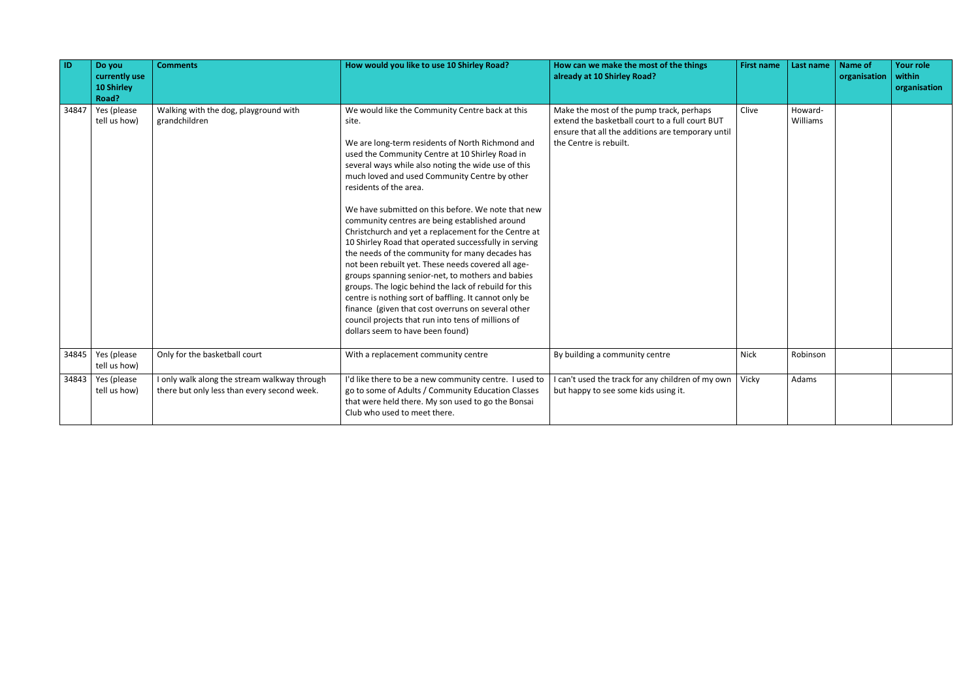| ID    | Do you<br>currently use<br><b>10 Shirley</b><br>Road? | <b>Comments</b>                                                                             | How would you like to use 10 Shirley Road?                                                                                                                                                                                                                                                                                                                                                                                                                                                                                                                                                                                                                                                                                                                                                                                                                                                                                                                 | How can we make the most of the things<br>already at 10 Shirley Road?                                                                                                      | <b>First name</b> | Last name           | <b>Name of</b><br>organisation | <b>Your role</b><br>within<br>organisation |
|-------|-------------------------------------------------------|---------------------------------------------------------------------------------------------|------------------------------------------------------------------------------------------------------------------------------------------------------------------------------------------------------------------------------------------------------------------------------------------------------------------------------------------------------------------------------------------------------------------------------------------------------------------------------------------------------------------------------------------------------------------------------------------------------------------------------------------------------------------------------------------------------------------------------------------------------------------------------------------------------------------------------------------------------------------------------------------------------------------------------------------------------------|----------------------------------------------------------------------------------------------------------------------------------------------------------------------------|-------------------|---------------------|--------------------------------|--------------------------------------------|
| 34847 | Yes (please<br>tell us how)                           | Walking with the dog, playground with<br>grandchildren                                      | We would like the Community Centre back at this<br>site.<br>We are long-term residents of North Richmond and<br>used the Community Centre at 10 Shirley Road in<br>several ways while also noting the wide use of this<br>much loved and used Community Centre by other<br>residents of the area.<br>We have submitted on this before. We note that new<br>community centres are being established around<br>Christchurch and yet a replacement for the Centre at<br>10 Shirley Road that operated successfully in serving<br>the needs of the community for many decades has<br>not been rebuilt yet. These needs covered all age-<br>groups spanning senior-net, to mothers and babies<br>groups. The logic behind the lack of rebuild for this<br>centre is nothing sort of baffling. It cannot only be<br>finance (given that cost overruns on several other<br>council projects that run into tens of millions of<br>dollars seem to have been found) | Make the most of the pump track, perhaps<br>extend the basketball court to a full court BUT<br>ensure that all the additions are temporary until<br>the Centre is rebuilt. | Clive             | Howard-<br>Williams |                                |                                            |
| 34845 | Yes (please<br>tell us how)                           | Only for the basketball court                                                               | With a replacement community centre                                                                                                                                                                                                                                                                                                                                                                                                                                                                                                                                                                                                                                                                                                                                                                                                                                                                                                                        | By building a community centre                                                                                                                                             | <b>Nick</b>       | Robinson            |                                |                                            |
|       | $34843$ Yes (please<br>tell us how)                   | I only walk along the stream walkway through<br>there but only less than every second week. | I'd like there to be a new community centre. I used to<br>go to some of Adults / Community Education Classes<br>that were held there. My son used to go the Bonsai<br>Club who used to meet there.                                                                                                                                                                                                                                                                                                                                                                                                                                                                                                                                                                                                                                                                                                                                                         | I can't used the track for any children of my own<br>but happy to see some kids using it.                                                                                  | Vicky             | Adams               |                                |                                            |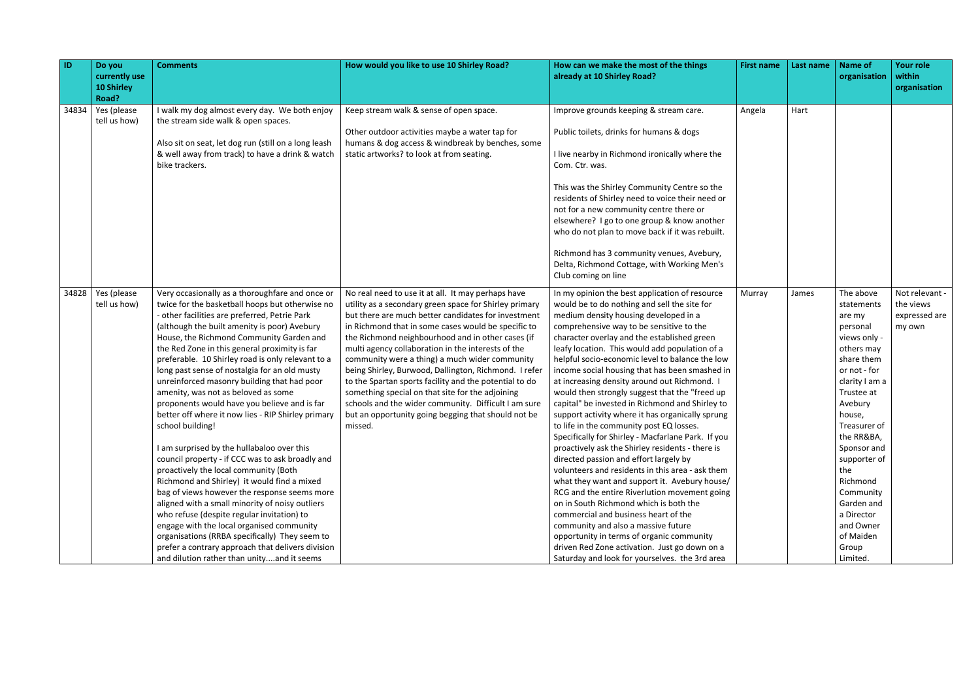| $\blacksquare$ | Do you<br>currently use<br><b>10 Shirley</b><br>Road? | <b>Comments</b>                                                                                                                                                                                                                                                                                                                                                                                                                                                                                                                                                                                                                                                                                                                                                                                                                                                                                                                                                                                                                                                                                                                                                     | How would you like to use 10 Shirley Road?                                                                                                                                                                                                                                                                                                                                                                                                                                                                                                                                                                                                                                               | How can we make the most of the things<br>already at 10 Shirley Road?                                                                                                                                                                                                                                                                                                                                                                                                                                                                                                                                                                                                                                                                                                                                                                                                                                                                                                                                                                                                                                                                                                                                                             | <b>First name</b> | Last name | <b>Name of</b><br>organisation                                                                                                                                                                                                                                                                                                         | <b>Your role</b><br>within<br>organisation             |
|----------------|-------------------------------------------------------|---------------------------------------------------------------------------------------------------------------------------------------------------------------------------------------------------------------------------------------------------------------------------------------------------------------------------------------------------------------------------------------------------------------------------------------------------------------------------------------------------------------------------------------------------------------------------------------------------------------------------------------------------------------------------------------------------------------------------------------------------------------------------------------------------------------------------------------------------------------------------------------------------------------------------------------------------------------------------------------------------------------------------------------------------------------------------------------------------------------------------------------------------------------------|------------------------------------------------------------------------------------------------------------------------------------------------------------------------------------------------------------------------------------------------------------------------------------------------------------------------------------------------------------------------------------------------------------------------------------------------------------------------------------------------------------------------------------------------------------------------------------------------------------------------------------------------------------------------------------------|-----------------------------------------------------------------------------------------------------------------------------------------------------------------------------------------------------------------------------------------------------------------------------------------------------------------------------------------------------------------------------------------------------------------------------------------------------------------------------------------------------------------------------------------------------------------------------------------------------------------------------------------------------------------------------------------------------------------------------------------------------------------------------------------------------------------------------------------------------------------------------------------------------------------------------------------------------------------------------------------------------------------------------------------------------------------------------------------------------------------------------------------------------------------------------------------------------------------------------------|-------------------|-----------|----------------------------------------------------------------------------------------------------------------------------------------------------------------------------------------------------------------------------------------------------------------------------------------------------------------------------------------|--------------------------------------------------------|
| 34834          | Yes (please<br>tell us how)                           | I walk my dog almost every day. We both enjoy<br>the stream side walk & open spaces.<br>Also sit on seat, let dog run (still on a long leash<br>& well away from track) to have a drink & watch<br>bike trackers.                                                                                                                                                                                                                                                                                                                                                                                                                                                                                                                                                                                                                                                                                                                                                                                                                                                                                                                                                   | Keep stream walk & sense of open space.<br>Other outdoor activities maybe a water tap for<br>humans & dog access & windbreak by benches, some<br>static artworks? to look at from seating.                                                                                                                                                                                                                                                                                                                                                                                                                                                                                               | Improve grounds keeping & stream care.<br>Public toilets, drinks for humans & dogs<br>I live nearby in Richmond ironically where the<br>Com. Ctr. was.<br>This was the Shirley Community Centre so the<br>residents of Shirley need to voice their need or<br>not for a new community centre there or<br>elsewhere? I go to one group & know another<br>who do not plan to move back if it was rebuilt.<br>Richmond has 3 community venues, Avebury,<br>Delta, Richmond Cottage, with Working Men's<br>Club coming on line                                                                                                                                                                                                                                                                                                                                                                                                                                                                                                                                                                                                                                                                                                        | Angela            | Hart      |                                                                                                                                                                                                                                                                                                                                        |                                                        |
| 34828          | Yes (please<br>tell us how)                           | Very occasionally as a thoroughfare and once or<br>twice for the basketball hoops but otherwise no<br>- other facilities are preferred, Petrie Park<br>(although the built amenity is poor) Avebury<br>House, the Richmond Community Garden and<br>the Red Zone in this general proximity is far<br>preferable. 10 Shirley road is only relevant to a<br>long past sense of nostalgia for an old musty<br>unreinforced masonry building that had poor<br>amenity, was not as beloved as some<br>proponents would have you believe and is far<br>better off where it now lies - RIP Shirley primary<br>school building!<br>I am surprised by the hullabaloo over this<br>council property - if CCC was to ask broadly and<br>proactively the local community (Both<br>Richmond and Shirley) it would find a mixed<br>bag of views however the response seems more<br>aligned with a small minority of noisy outliers<br>who refuse (despite regular invitation) to<br>engage with the local organised community<br>organisations (RRBA specifically) They seem to<br>prefer a contrary approach that delivers division<br>and dilution rather than unityand it seems | No real need to use it at all. It may perhaps have<br>utility as a secondary green space for Shirley primary<br>but there are much better candidates for investment<br>in Richmond that in some cases would be specific to<br>the Richmond neighbourhood and in other cases (if<br>multi agency collaboration in the interests of the<br>community were a thing) a much wider community<br>being Shirley, Burwood, Dallington, Richmond. I refer<br>to the Spartan sports facility and the potential to do<br>something special on that site for the adjoining<br>schools and the wider community. Difficult I am sure<br>but an opportunity going begging that should not be<br>missed. | In my opinion the best application of resource<br>would be to do nothing and sell the site for<br>medium density housing developed in a<br>comprehensive way to be sensitive to the<br>character overlay and the established green<br>leafy location. This would add population of a<br>helpful socio-economic level to balance the low<br>income social housing that has been smashed in<br>at increasing density around out Richmond. I<br>would then strongly suggest that the "freed up<br>capital" be invested in Richmond and Shirley to<br>support activity where it has organically sprung<br>to life in the community post EQ losses.<br>Specifically for Shirley - Macfarlane Park. If you<br>proactively ask the Shirley residents - there is<br>directed passion and effort largely by<br>volunteers and residents in this area - ask them<br>what they want and support it. Avebury house/<br>RCG and the entire Riverlution movement going<br>on in South Richmond which is both the<br>commercial and business heart of the<br>community and also a massive future<br>opportunity in terms of organic community<br>driven Red Zone activation. Just go down on a<br>Saturday and look for yourselves. the 3rd area | Murray            | James     | The above<br>statements<br>are my<br>personal<br>views only -<br>others may<br>share them<br>or not - for<br>clarity I am a<br>Trustee at<br>Avebury<br>house,<br>Treasurer of<br>the RR&BA,<br>Sponsor and<br>supporter of<br>the<br>Richmond<br>Community<br>Garden and<br>a Director<br>and Owner<br>of Maiden<br>Group<br>Limited. | Not relevant -<br>the views<br>expressed are<br>my own |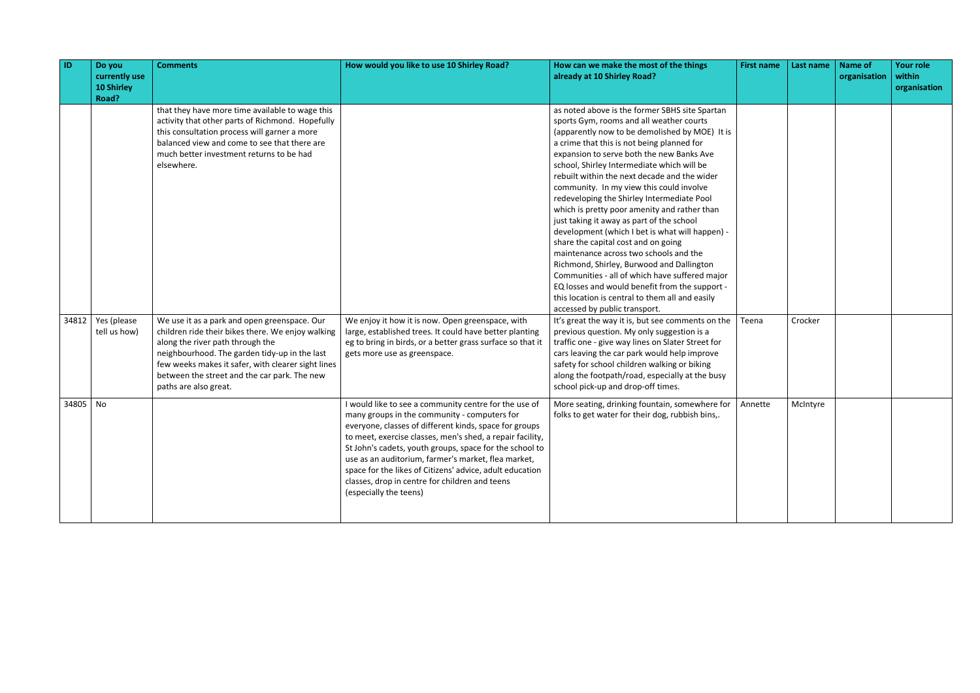| $\vert$ ID | Do you<br>currently use<br><b>10 Shirley</b><br>Road? | <b>Comments</b>                                                                                                                                                                                                                                                                                                       | How would you like to use 10 Shirley Road?                                                                                                                                                                                                                                                                                                                                                                                                                                             | How can we make the most of the things<br>already at 10 Shirley Road?                                                                                                                                                                                                                                                                                                                                                                                                                                                                                                                                                                                                                                                                                                                                                                                                                                 | <b>First name</b> | Last name | <b>Name of</b><br>organisation | <b>Your role</b><br>within<br>organisation |
|------------|-------------------------------------------------------|-----------------------------------------------------------------------------------------------------------------------------------------------------------------------------------------------------------------------------------------------------------------------------------------------------------------------|----------------------------------------------------------------------------------------------------------------------------------------------------------------------------------------------------------------------------------------------------------------------------------------------------------------------------------------------------------------------------------------------------------------------------------------------------------------------------------------|-------------------------------------------------------------------------------------------------------------------------------------------------------------------------------------------------------------------------------------------------------------------------------------------------------------------------------------------------------------------------------------------------------------------------------------------------------------------------------------------------------------------------------------------------------------------------------------------------------------------------------------------------------------------------------------------------------------------------------------------------------------------------------------------------------------------------------------------------------------------------------------------------------|-------------------|-----------|--------------------------------|--------------------------------------------|
|            |                                                       | that they have more time available to wage this<br>activity that other parts of Richmond. Hopefully<br>this consultation process will garner a more<br>balanced view and come to see that there are<br>much better investment returns to be had<br>elsewhere.                                                         |                                                                                                                                                                                                                                                                                                                                                                                                                                                                                        | as noted above is the former SBHS site Spartan<br>sports Gym, rooms and all weather courts<br>(apparently now to be demolished by MOE) It is<br>a crime that this is not being planned for<br>expansion to serve both the new Banks Ave<br>school, Shirley Intermediate which will be<br>rebuilt within the next decade and the wider<br>community. In my view this could involve<br>redeveloping the Shirley Intermediate Pool<br>which is pretty poor amenity and rather than<br>just taking it away as part of the school<br>development (which I bet is what will happen) -<br>share the capital cost and on going<br>maintenance across two schools and the<br>Richmond, Shirley, Burwood and Dallington<br>Communities - all of which have suffered major<br>EQ losses and would benefit from the support -<br>this location is central to them all and easily<br>accessed by public transport. |                   |           |                                |                                            |
| 34812      | Yes (please<br>tell us how)                           | We use it as a park and open greenspace. Our<br>children ride their bikes there. We enjoy walking<br>along the river path through the<br>neighbourhood. The garden tidy-up in the last<br>few weeks makes it safer, with clearer sight lines<br>between the street and the car park. The new<br>paths are also great. | We enjoy it how it is now. Open greenspace, with<br>large, established trees. It could have better planting<br>eg to bring in birds, or a better grass surface so that it<br>gets more use as greenspace.                                                                                                                                                                                                                                                                              | It's great the way it is, but see comments on the<br>previous question. My only suggestion is a<br>traffic one - give way lines on Slater Street for<br>cars leaving the car park would help improve<br>safety for school children walking or biking<br>along the footpath/road, especially at the busy<br>school pick-up and drop-off times.                                                                                                                                                                                                                                                                                                                                                                                                                                                                                                                                                         | Teena             | Crocker   |                                |                                            |
| 34805 No   |                                                       |                                                                                                                                                                                                                                                                                                                       | I would like to see a community centre for the use of<br>many groups in the community - computers for<br>everyone, classes of different kinds, space for groups<br>to meet, exercise classes, men's shed, a repair facility,<br>St John's cadets, youth groups, space for the school to<br>use as an auditorium, farmer's market, flea market,<br>space for the likes of Citizens' advice, adult education<br>classes, drop in centre for children and teens<br>(especially the teens) | More seating, drinking fountain, somewhere for<br>folks to get water for their dog, rubbish bins,.                                                                                                                                                                                                                                                                                                                                                                                                                                                                                                                                                                                                                                                                                                                                                                                                    | Annette           | McIntyre  |                                |                                            |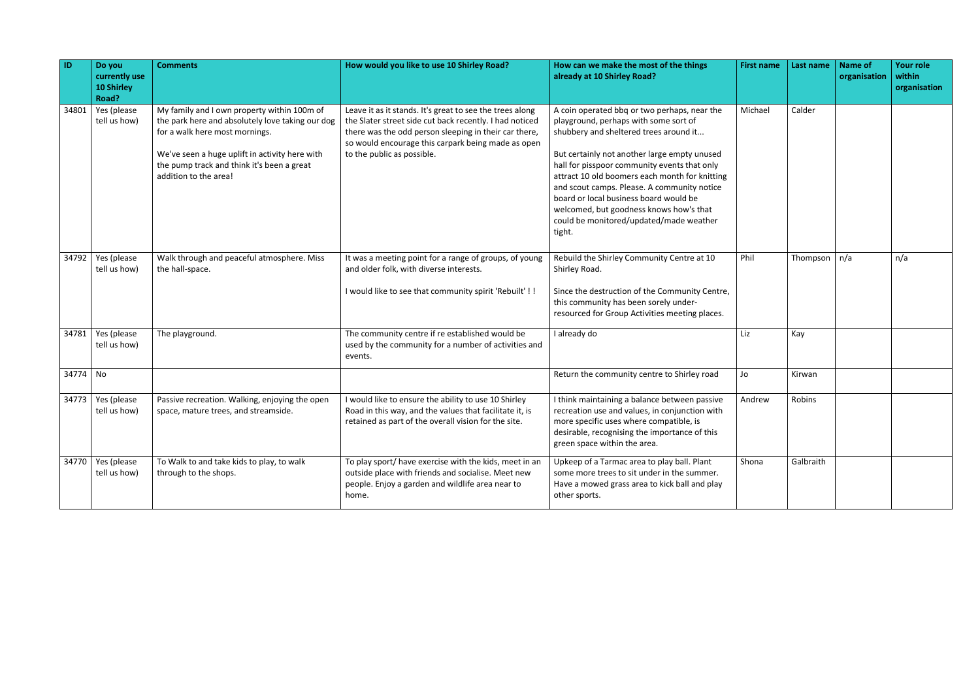| ID       | Do you<br>currently use<br><b>10 Shirley</b><br>Road? | <b>Comments</b>                                                                                                                                                                                                                                            | How would you like to use 10 Shirley Road?                                                                                                                                                                                                                       | How can we make the most of the things<br>already at 10 Shirley Road?                                                                                                                                                                                                                                                                                                                                                                                                      | <b>First name</b> | Last name        | <b>Name of</b><br>organisation | Your role<br>within<br>organisation |
|----------|-------------------------------------------------------|------------------------------------------------------------------------------------------------------------------------------------------------------------------------------------------------------------------------------------------------------------|------------------------------------------------------------------------------------------------------------------------------------------------------------------------------------------------------------------------------------------------------------------|----------------------------------------------------------------------------------------------------------------------------------------------------------------------------------------------------------------------------------------------------------------------------------------------------------------------------------------------------------------------------------------------------------------------------------------------------------------------------|-------------------|------------------|--------------------------------|-------------------------------------|
| 34801    | Yes (please<br>tell us how)                           | My family and I own property within 100m of<br>the park here and absolutely love taking our dog<br>for a walk here most mornings.<br>We've seen a huge uplift in activity here with<br>the pump track and think it's been a great<br>addition to the area! | Leave it as it stands. It's great to see the trees along<br>the Slater street side cut back recently. I had noticed<br>there was the odd person sleeping in their car there,<br>so would encourage this carpark being made as open<br>to the public as possible. | A coin operated bbg or two perhaps, near the<br>playground, perhaps with some sort of<br>shubbery and sheltered trees around it<br>But certainly not another large empty unused<br>hall for pisspoor community events that only<br>attract 10 old boomers each month for knitting<br>and scout camps. Please. A community notice<br>board or local business board would be<br>welcomed, but goodness knows how's that<br>could be monitored/updated/made weather<br>tight. | Michael           | Calder           |                                |                                     |
| 34792    | Yes (please<br>tell us how)                           | Walk through and peaceful atmosphere. Miss<br>the hall-space.                                                                                                                                                                                              | It was a meeting point for a range of groups, of young<br>and older folk, with diverse interests.<br>I would like to see that community spirit 'Rebuilt' !!                                                                                                      | Rebuild the Shirley Community Centre at 10<br>Shirley Road.<br>Since the destruction of the Community Centre,<br>this community has been sorely under-<br>resourced for Group Activities meeting places.                                                                                                                                                                                                                                                                   | Phil              | Thompson $ n/a $ |                                | n/a                                 |
| 34781    | Yes (please<br>tell us how)                           | The playground.                                                                                                                                                                                                                                            | The community centre if re established would be<br>used by the community for a number of activities and<br>events.                                                                                                                                               | I already do                                                                                                                                                                                                                                                                                                                                                                                                                                                               | Liz               | Kay              |                                |                                     |
| 34774 No |                                                       |                                                                                                                                                                                                                                                            |                                                                                                                                                                                                                                                                  | Return the community centre to Shirley road                                                                                                                                                                                                                                                                                                                                                                                                                                | Jo                | Kirwan           |                                |                                     |
| 34773    | Yes (please<br>tell us how)                           | Passive recreation. Walking, enjoying the open<br>space, mature trees, and streamside.                                                                                                                                                                     | I would like to ensure the ability to use 10 Shirley<br>Road in this way, and the values that facilitate it, is<br>retained as part of the overall vision for the site.                                                                                          | I think maintaining a balance between passive<br>recreation use and values, in conjunction with<br>more specific uses where compatible, is<br>desirable, recognising the importance of this<br>green space within the area.                                                                                                                                                                                                                                                | Andrew            | Robins           |                                |                                     |
|          | $34770$ Yes (please<br>tell us how)                   | To Walk to and take kids to play, to walk<br>through to the shops.                                                                                                                                                                                         | To play sport/ have exercise with the kids, meet in an<br>outside place with friends and socialise. Meet new<br>people. Enjoy a garden and wildlife area near to<br>home.                                                                                        | Upkeep of a Tarmac area to play ball. Plant<br>some more trees to sit under in the summer.<br>Have a mowed grass area to kick ball and play<br>other sports.                                                                                                                                                                                                                                                                                                               | Shona             | Galbraith        |                                |                                     |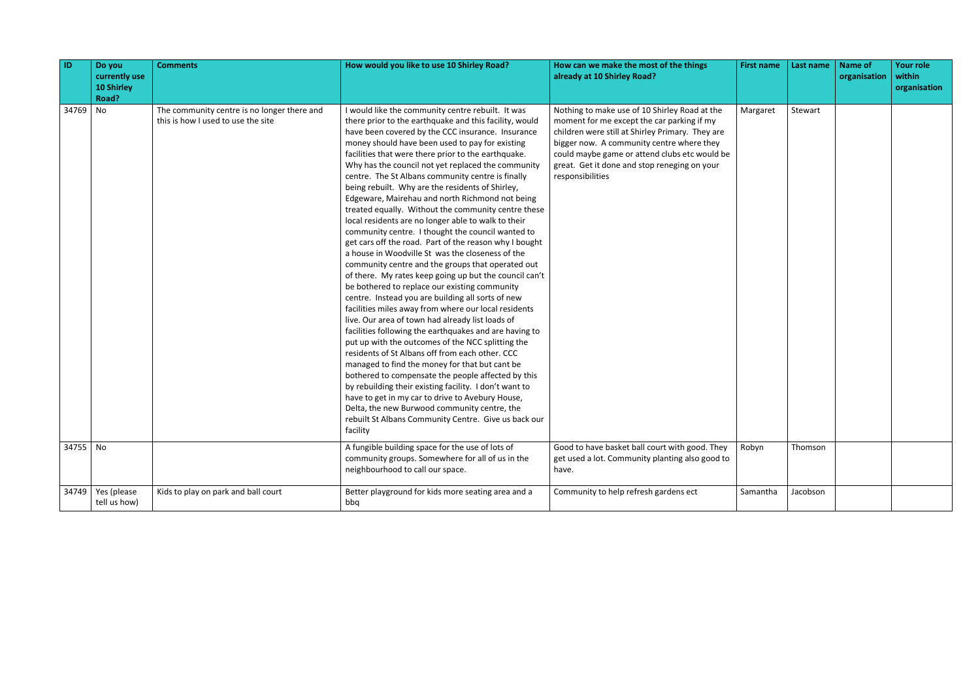| ID       | Do you<br>currently use<br><b>10 Shirley</b><br>Road? | <b>Comments</b>                                                                   | How would you like to use 10 Shirley Road?                                                                                                                                                                                                                                                                                                                                                                                                                                                                                                                                                                                                                                                                                                                                                                                                                                                                                                                                                                                                                                                                                                                                                                                                                                                                                                                                                                                                                                                                                                                                                                                 | How can we make the most of the things<br>already at 10 Shirley Road?                                                                                                                                                                                                                                             | <b>First name</b> | Last name | <b>Name of</b><br>organisation | <b>Your role</b><br>within<br>organisation |
|----------|-------------------------------------------------------|-----------------------------------------------------------------------------------|----------------------------------------------------------------------------------------------------------------------------------------------------------------------------------------------------------------------------------------------------------------------------------------------------------------------------------------------------------------------------------------------------------------------------------------------------------------------------------------------------------------------------------------------------------------------------------------------------------------------------------------------------------------------------------------------------------------------------------------------------------------------------------------------------------------------------------------------------------------------------------------------------------------------------------------------------------------------------------------------------------------------------------------------------------------------------------------------------------------------------------------------------------------------------------------------------------------------------------------------------------------------------------------------------------------------------------------------------------------------------------------------------------------------------------------------------------------------------------------------------------------------------------------------------------------------------------------------------------------------------|-------------------------------------------------------------------------------------------------------------------------------------------------------------------------------------------------------------------------------------------------------------------------------------------------------------------|-------------------|-----------|--------------------------------|--------------------------------------------|
| 34769 No |                                                       | The community centre is no longer there and<br>this is how I used to use the site | I would like the community centre rebuilt. It was<br>there prior to the earthquake and this facility, would<br>have been covered by the CCC insurance. Insurance<br>money should have been used to pay for existing<br>facilities that were there prior to the earthquake.<br>Why has the council not yet replaced the community<br>centre. The St Albans community centre is finally<br>being rebuilt. Why are the residents of Shirley,<br>Edgeware, Mairehau and north Richmond not being<br>treated equally. Without the community centre these<br>local residents are no longer able to walk to their<br>community centre. I thought the council wanted to<br>get cars off the road. Part of the reason why I bought<br>a house in Woodville St was the closeness of the<br>community centre and the groups that operated out<br>of there. My rates keep going up but the council can't<br>be bothered to replace our existing community<br>centre. Instead you are building all sorts of new<br>facilities miles away from where our local residents<br>live. Our area of town had already list loads of<br>facilities following the earthquakes and are having to<br>put up with the outcomes of the NCC splitting the<br>residents of St Albans off from each other. CCC<br>managed to find the money for that but cant be<br>bothered to compensate the people affected by this<br>by rebuilding their existing facility. I don't want to<br>have to get in my car to drive to Avebury House,<br>Delta, the new Burwood community centre, the<br>rebuilt St Albans Community Centre. Give us back our<br>facility | Nothing to make use of 10 Shirley Road at the<br>moment for me except the car parking if my<br>children were still at Shirley Primary. They are<br>bigger now. A community centre where they<br>could maybe game or attend clubs etc would be<br>great. Get it done and stop reneging on your<br>responsibilities | Margaret          | Stewart   |                                |                                            |
| 34755 No |                                                       |                                                                                   | A fungible building space for the use of lots of<br>community groups. Somewhere for all of us in the<br>neighbourhood to call our space.                                                                                                                                                                                                                                                                                                                                                                                                                                                                                                                                                                                                                                                                                                                                                                                                                                                                                                                                                                                                                                                                                                                                                                                                                                                                                                                                                                                                                                                                                   | Good to have basket ball court with good. They<br>get used a lot. Community planting also good to<br>have.                                                                                                                                                                                                        | Robyn             | Thomson   |                                |                                            |
| 34749    | Yes (please<br>tell us how)                           | Kids to play on park and ball court                                               | Better playground for kids more seating area and a<br>bbq                                                                                                                                                                                                                                                                                                                                                                                                                                                                                                                                                                                                                                                                                                                                                                                                                                                                                                                                                                                                                                                                                                                                                                                                                                                                                                                                                                                                                                                                                                                                                                  | Community to help refresh gardens ect                                                                                                                                                                                                                                                                             | Samantha          | Jacobson  |                                |                                            |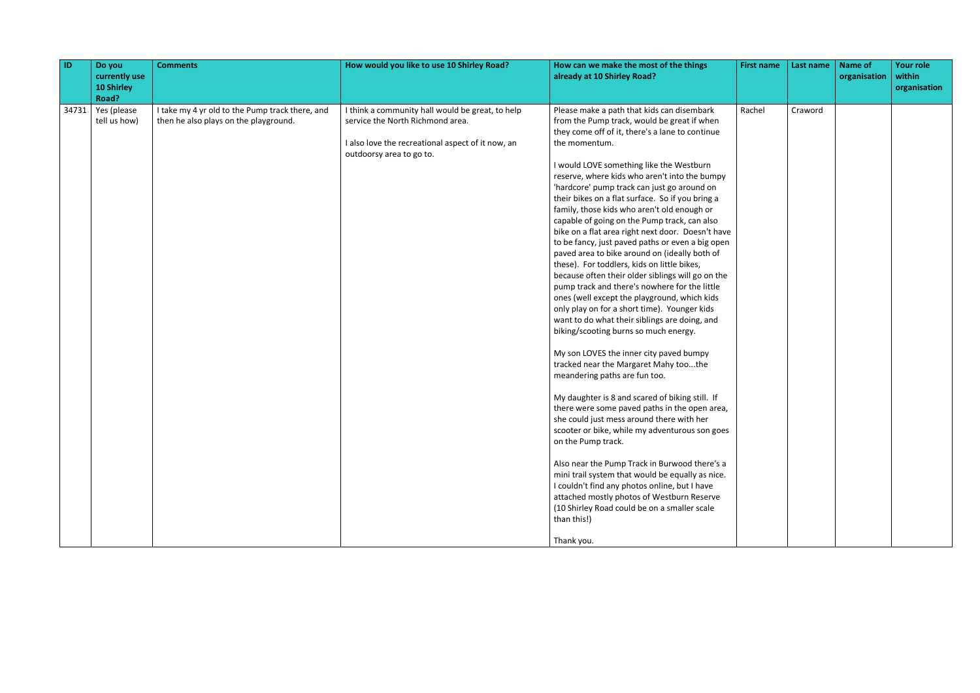| $\vert$ ID | Do you<br>currently use<br><b>10 Shirley</b><br>Road? | <b>Comments</b>                                                                          | How would you like to use 10 Shirley Road?                                                                                                                            | How can we make the most of the things<br>already at 10 Shirley Road?                                                                                                                                                                                                                                                                                                                                                                                                                                                                                                                                                                                                                                                                                                                                                                                                                                                                                                                                                                                                                                                                                                                                                                                                                                                                                                                                                                                                                                                                                                                                | <b>First name</b> | Last name | <b>Name of</b><br>organisation | <b>Your role</b><br>within<br>organisation |
|------------|-------------------------------------------------------|------------------------------------------------------------------------------------------|-----------------------------------------------------------------------------------------------------------------------------------------------------------------------|------------------------------------------------------------------------------------------------------------------------------------------------------------------------------------------------------------------------------------------------------------------------------------------------------------------------------------------------------------------------------------------------------------------------------------------------------------------------------------------------------------------------------------------------------------------------------------------------------------------------------------------------------------------------------------------------------------------------------------------------------------------------------------------------------------------------------------------------------------------------------------------------------------------------------------------------------------------------------------------------------------------------------------------------------------------------------------------------------------------------------------------------------------------------------------------------------------------------------------------------------------------------------------------------------------------------------------------------------------------------------------------------------------------------------------------------------------------------------------------------------------------------------------------------------------------------------------------------------|-------------------|-----------|--------------------------------|--------------------------------------------|
| 34731      | Yes (please<br>tell us how)                           | I take my 4 yr old to the Pump track there, and<br>then he also plays on the playground. | I think a community hall would be great, to help<br>service the North Richmond area.<br>I also love the recreational aspect of it now, an<br>outdoorsy area to go to. | Please make a path that kids can disembark<br>from the Pump track, would be great if when<br>they come off of it, there's a lane to continue<br>the momentum.<br>I would LOVE something like the Westburn<br>reserve, where kids who aren't into the bumpy<br>'hardcore' pump track can just go around on<br>their bikes on a flat surface. So if you bring a<br>family, those kids who aren't old enough or<br>capable of going on the Pump track, can also<br>bike on a flat area right next door. Doesn't have<br>to be fancy, just paved paths or even a big open<br>paved area to bike around on (ideally both of<br>these). For toddlers, kids on little bikes,<br>because often their older siblings will go on the<br>pump track and there's nowhere for the little<br>ones (well except the playground, which kids<br>only play on for a short time). Younger kids<br>want to do what their siblings are doing, and<br>biking/scooting burns so much energy.<br>My son LOVES the inner city paved bumpy<br>tracked near the Margaret Mahy toothe<br>meandering paths are fun too.<br>My daughter is 8 and scared of biking still. If<br>there were some paved paths in the open area,<br>she could just mess around there with her<br>scooter or bike, while my adventurous son goes<br>on the Pump track.<br>Also near the Pump Track in Burwood there's a<br>mini trail system that would be equally as nice.<br>I couldn't find any photos online, but I have<br>attached mostly photos of Westburn Reserve<br>(10 Shirley Road could be on a smaller scale<br>than this!)<br>Thank you. | Rachel            | Craword   |                                |                                            |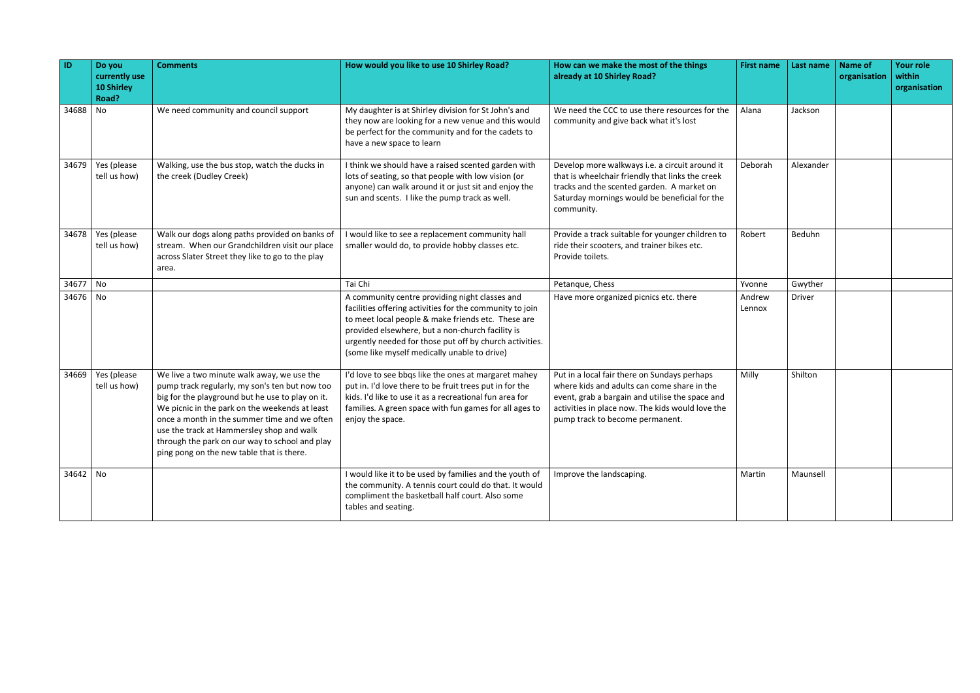| ID         | Do you<br>currently use<br>10 Shirley<br>Road? | <b>Comments</b>                                                                                                                                                                                                                                                                                                                                                                                | How would you like to use 10 Shirley Road?                                                                                                                                                                                                                                                                                      | How can we make the most of the things<br>already at 10 Shirley Road?                                                                                                                                                                 | <b>First name</b> | Last name | Name of<br>organisation | Your role<br>within<br>organisation |
|------------|------------------------------------------------|------------------------------------------------------------------------------------------------------------------------------------------------------------------------------------------------------------------------------------------------------------------------------------------------------------------------------------------------------------------------------------------------|---------------------------------------------------------------------------------------------------------------------------------------------------------------------------------------------------------------------------------------------------------------------------------------------------------------------------------|---------------------------------------------------------------------------------------------------------------------------------------------------------------------------------------------------------------------------------------|-------------------|-----------|-------------------------|-------------------------------------|
| 34688      | No                                             | We need community and council support                                                                                                                                                                                                                                                                                                                                                          | My daughter is at Shirley division for St John's and<br>they now are looking for a new venue and this would<br>be perfect for the community and for the cadets to<br>have a new space to learn                                                                                                                                  | We need the CCC to use there resources for the<br>community and give back what it's lost                                                                                                                                              | Alana             | Jackson   |                         |                                     |
| 34679      | Yes (please<br>tell us how)                    | Walking, use the bus stop, watch the ducks in<br>the creek (Dudley Creek)                                                                                                                                                                                                                                                                                                                      | I think we should have a raised scented garden with<br>lots of seating, so that people with low vision (or<br>anyone) can walk around it or just sit and enjoy the<br>sun and scents. I like the pump track as well.                                                                                                            | Develop more walkways i.e. a circuit around it<br>that is wheelchair friendly that links the creek<br>tracks and the scented garden. A market on<br>Saturday mornings would be beneficial for the<br>community.                       | Deborah           | Alexander |                         |                                     |
|            | $34678$ Yes (please<br>tell us how)            | Walk our dogs along paths provided on banks of<br>stream. When our Grandchildren visit our place<br>across Slater Street they like to go to the play<br>area.                                                                                                                                                                                                                                  | would like to see a replacement community hall<br>smaller would do, to provide hobby classes etc.                                                                                                                                                                                                                               | Provide a track suitable for younger children to<br>ride their scooters, and trainer bikes etc.<br>Provide toilets.                                                                                                                   | Robert            | Beduhn    |                         |                                     |
| 34677      | $\overline{\phantom{a}}$ No                    |                                                                                                                                                                                                                                                                                                                                                                                                | Tai Chi                                                                                                                                                                                                                                                                                                                         | Petanque, Chess                                                                                                                                                                                                                       | Yvonne            | Gwyther   |                         |                                     |
| 34676 No   |                                                |                                                                                                                                                                                                                                                                                                                                                                                                | A community centre providing night classes and<br>facilities offering activities for the community to join<br>to meet local people & make friends etc. These are<br>provided elsewhere, but a non-church facility is<br>urgently needed for those put off by church activities.<br>(some like myself medically unable to drive) | Have more organized picnics etc. there                                                                                                                                                                                                | Andrew<br>Lennox  | Driver    |                         |                                     |
| 34669      | Yes (please<br>tell us how)                    | We live a two minute walk away, we use the<br>pump track regularly, my son's ten but now too<br>big for the playground but he use to play on it.<br>We picnic in the park on the weekends at least<br>once a month in the summer time and we often<br>use the track at Hammersley shop and walk<br>through the park on our way to school and play<br>ping pong on the new table that is there. | I'd love to see bbqs like the ones at margaret mahey<br>put in. I'd love there to be fruit trees put in for the<br>kids. I'd like to use it as a recreational fun area for<br>families. A green space with fun games for all ages to<br>enjoy the space.                                                                        | Put in a local fair there on Sundays perhaps<br>where kids and adults can come share in the<br>event, grab a bargain and utilise the space and<br>activities in place now. The kids would love the<br>pump track to become permanent. | Milly             | Shilton   |                         |                                     |
| $34642$ No |                                                |                                                                                                                                                                                                                                                                                                                                                                                                | I would like it to be used by families and the youth of<br>the community. A tennis court could do that. It would<br>compliment the basketball half court. Also some<br>tables and seating.                                                                                                                                      | Improve the landscaping.                                                                                                                                                                                                              | Martin            | Maunsell  |                         |                                     |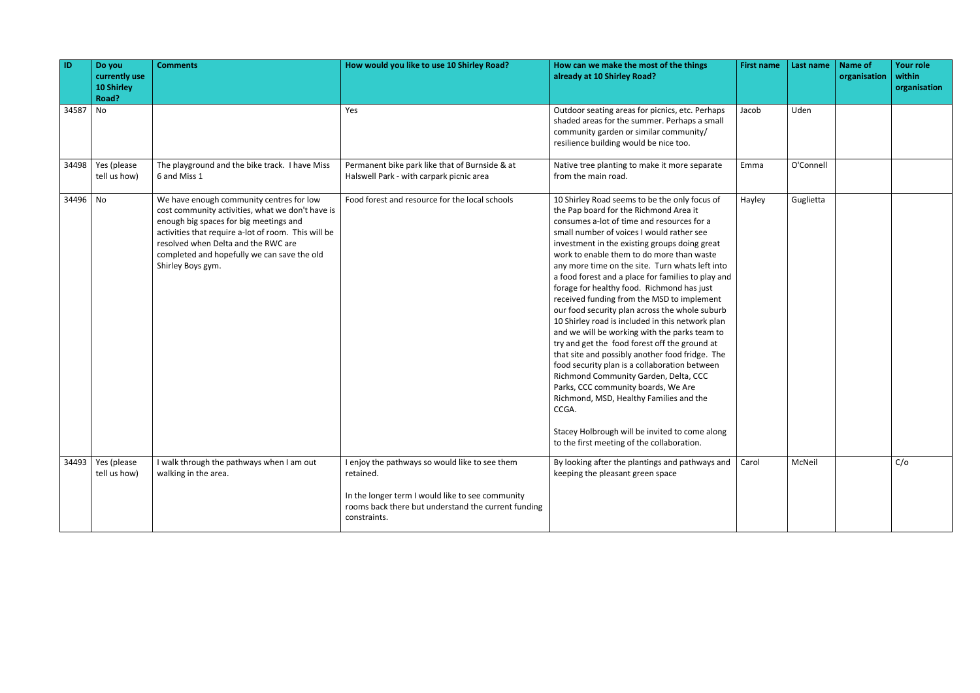| How can we make the most of the things<br><b>First name</b>                                                                                                                                                                                                                                                                                                                                                                                                                                                                                                                                                                                                                                                                                                                                                                                                                                                                                                                                                                            | Last name | <b>Name of</b><br>organisation | <b>Your role</b><br>within<br>organisation |
|----------------------------------------------------------------------------------------------------------------------------------------------------------------------------------------------------------------------------------------------------------------------------------------------------------------------------------------------------------------------------------------------------------------------------------------------------------------------------------------------------------------------------------------------------------------------------------------------------------------------------------------------------------------------------------------------------------------------------------------------------------------------------------------------------------------------------------------------------------------------------------------------------------------------------------------------------------------------------------------------------------------------------------------|-----------|--------------------------------|--------------------------------------------|
| Outdoor seating areas for picnics, etc. Perhaps<br>Jacob<br>shaded areas for the summer. Perhaps a small<br>community garden or similar community/<br>resilience building would be nice too.                                                                                                                                                                                                                                                                                                                                                                                                                                                                                                                                                                                                                                                                                                                                                                                                                                           | Uden      |                                |                                            |
| Native tree planting to make it more separate<br>Emma                                                                                                                                                                                                                                                                                                                                                                                                                                                                                                                                                                                                                                                                                                                                                                                                                                                                                                                                                                                  | O'Connell |                                |                                            |
| 10 Shirley Road seems to be the only focus of<br>Hayley<br>the Pap board for the Richmond Area it<br>consumes a-lot of time and resources for a<br>small number of voices I would rather see<br>investment in the existing groups doing great<br>work to enable them to do more than waste<br>any more time on the site. Turn whats left into<br>a food forest and a place for families to play and<br>forage for healthy food. Richmond has just<br>received funding from the MSD to implement<br>our food security plan across the whole suburb<br>10 Shirley road is included in this network plan<br>and we will be working with the parks team to<br>try and get the food forest off the ground at<br>that site and possibly another food fridge. The<br>food security plan is a collaboration between<br>Richmond Community Garden, Delta, CCC<br>Parks, CCC community boards, We Are<br>Richmond, MSD, Healthy Families and the<br>Stacey Holbrough will be invited to come along<br>to the first meeting of the collaboration. | Guglietta |                                |                                            |
| By looking after the plantings and pathways and<br>Carol<br>keeping the pleasant green space                                                                                                                                                                                                                                                                                                                                                                                                                                                                                                                                                                                                                                                                                                                                                                                                                                                                                                                                           | McNeil    |                                | C/O                                        |
|                                                                                                                                                                                                                                                                                                                                                                                                                                                                                                                                                                                                                                                                                                                                                                                                                                                                                                                                                                                                                                        |           |                                |                                            |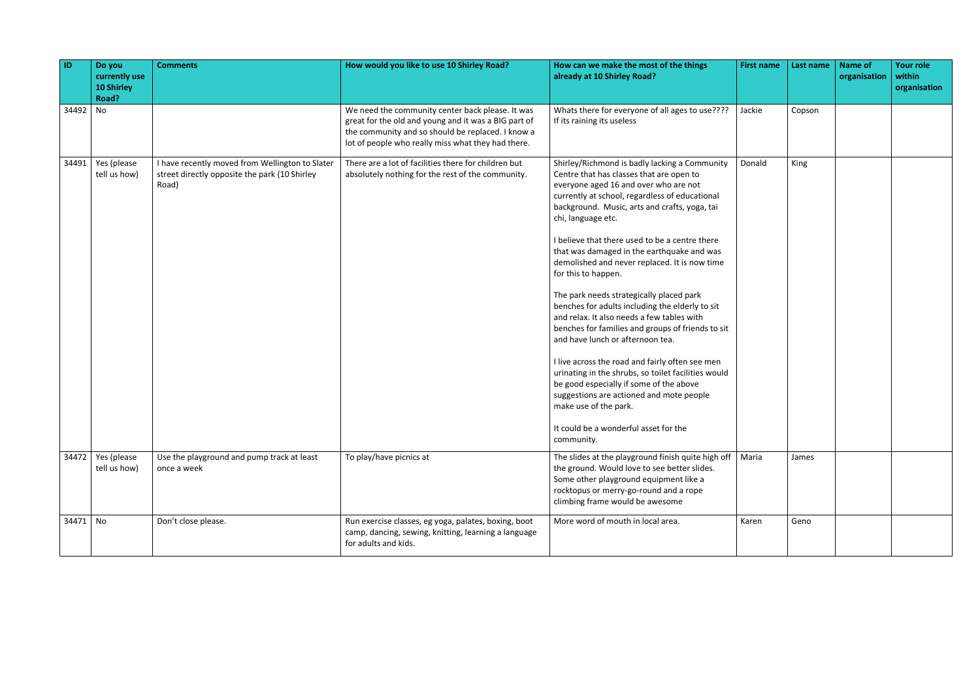| $\vert$ ID | Do you<br>currently use<br><b>10 Shirley</b><br>Road? | <b>Comments</b>                                                                                           | How would you like to use 10 Shirley Road?                                                                                                                                                                          | How can we make the most of the things<br>already at 10 Shirley Road?                                                                                                                                                                                                                                                                                                                                                                                                                                                                                                                                                                                                                                                                                                                                                                                                                                                                                      | <b>First name</b> | Last name | <b>Name of</b><br>organisation | <b>Your role</b><br>within<br>organisation |
|------------|-------------------------------------------------------|-----------------------------------------------------------------------------------------------------------|---------------------------------------------------------------------------------------------------------------------------------------------------------------------------------------------------------------------|------------------------------------------------------------------------------------------------------------------------------------------------------------------------------------------------------------------------------------------------------------------------------------------------------------------------------------------------------------------------------------------------------------------------------------------------------------------------------------------------------------------------------------------------------------------------------------------------------------------------------------------------------------------------------------------------------------------------------------------------------------------------------------------------------------------------------------------------------------------------------------------------------------------------------------------------------------|-------------------|-----------|--------------------------------|--------------------------------------------|
| 34492 No   |                                                       |                                                                                                           | We need the community center back please. It was<br>great for the old and young and it was a BIG part of<br>the community and so should be replaced. I know a<br>lot of people who really miss what they had there. | Whats there for everyone of all ages to use????<br>If its raining its useless                                                                                                                                                                                                                                                                                                                                                                                                                                                                                                                                                                                                                                                                                                                                                                                                                                                                              | Jackie            | Copson    |                                |                                            |
| 34491      | Yes (please<br>tell us how)                           | I have recently moved from Wellington to Slater<br>street directly opposite the park (10 Shirley<br>Road) | There are a lot of facilities there for children but<br>absolutely nothing for the rest of the community.                                                                                                           | Shirley/Richmond is badly lacking a Community<br>Centre that has classes that are open to<br>everyone aged 16 and over who are not<br>currently at school, regardless of educational<br>background. Music, arts and crafts, yoga, tai<br>chi, language etc.<br>I believe that there used to be a centre there<br>that was damaged in the earthquake and was<br>demolished and never replaced. It is now time<br>for this to happen.<br>The park needs strategically placed park<br>benches for adults including the elderly to sit<br>and relax. It also needs a few tables with<br>benches for families and groups of friends to sit<br>and have lunch or afternoon tea.<br>I live across the road and fairly often see men<br>urinating in the shrubs, so toilet facilities would<br>be good especially if some of the above<br>suggestions are actioned and mote people<br>make use of the park.<br>It could be a wonderful asset for the<br>community. | Donald            | King      |                                |                                            |
|            | $34472$ Yes (please<br>tell us how)                   | Use the playground and pump track at least<br>once a week                                                 | To play/have picnics at                                                                                                                                                                                             | The slides at the playground finish quite high off<br>the ground. Would love to see better slides.<br>Some other playground equipment like a<br>rocktopus or merry-go-round and a rope<br>climbing frame would be awesome                                                                                                                                                                                                                                                                                                                                                                                                                                                                                                                                                                                                                                                                                                                                  | Maria             | James     |                                |                                            |
| 34471 No   |                                                       | Don't close please.                                                                                       | Run exercise classes, eg yoga, palates, boxing, boot<br>camp, dancing, sewing, knitting, learning a language<br>for adults and kids.                                                                                | More word of mouth in local area.                                                                                                                                                                                                                                                                                                                                                                                                                                                                                                                                                                                                                                                                                                                                                                                                                                                                                                                          | Karen             | Geno      |                                |                                            |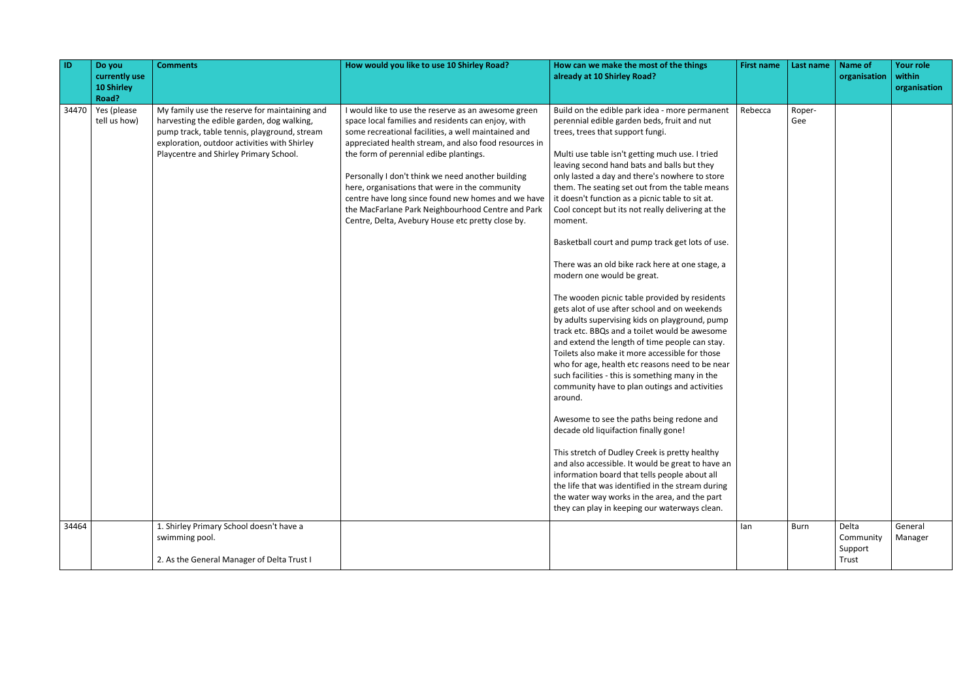| ID    | Do you<br>currently use<br><b>10 Shirley</b><br>Road? | <b>Comments</b>                                                                                                                                                                                                                       | How would you like to use 10 Shirley Road?                                                                                                                                                                                                                                                                                                                                                                                                                                                                                                 | How can we make the most of the things<br>already at 10 Shirley Road?                                                                                                                                                                                                                                                                                                                                                                                                                                                                                                                                                                                                                                                                                                                                                                                                                                                                                                                                                                                                                                                                                                                                                                                                                                                                                                                                                                                                            | <b>First name</b> | Last name     | <b>Name of</b><br>organisation         | <b>Your role</b><br>within<br>organisation |
|-------|-------------------------------------------------------|---------------------------------------------------------------------------------------------------------------------------------------------------------------------------------------------------------------------------------------|--------------------------------------------------------------------------------------------------------------------------------------------------------------------------------------------------------------------------------------------------------------------------------------------------------------------------------------------------------------------------------------------------------------------------------------------------------------------------------------------------------------------------------------------|----------------------------------------------------------------------------------------------------------------------------------------------------------------------------------------------------------------------------------------------------------------------------------------------------------------------------------------------------------------------------------------------------------------------------------------------------------------------------------------------------------------------------------------------------------------------------------------------------------------------------------------------------------------------------------------------------------------------------------------------------------------------------------------------------------------------------------------------------------------------------------------------------------------------------------------------------------------------------------------------------------------------------------------------------------------------------------------------------------------------------------------------------------------------------------------------------------------------------------------------------------------------------------------------------------------------------------------------------------------------------------------------------------------------------------------------------------------------------------|-------------------|---------------|----------------------------------------|--------------------------------------------|
| 34470 | Yes (please<br>tell us how)                           | My family use the reserve for maintaining and<br>harvesting the edible garden, dog walking,<br>pump track, table tennis, playground, stream<br>exploration, outdoor activities with Shirley<br>Playcentre and Shirley Primary School. | I would like to use the reserve as an awesome green<br>space local families and residents can enjoy, with<br>some recreational facilities, a well maintained and<br>appreciated health stream, and also food resources in<br>the form of perennial edibe plantings.<br>Personally I don't think we need another building<br>here, organisations that were in the community<br>centre have long since found new homes and we have<br>the MacFarlane Park Neighbourhood Centre and Park<br>Centre, Delta, Avebury House etc pretty close by. | Build on the edible park idea - more permanent<br>perennial edible garden beds, fruit and nut<br>trees, trees that support fungi.<br>Multi use table isn't getting much use. I tried<br>leaving second hand bats and balls but they<br>only lasted a day and there's nowhere to store<br>them. The seating set out from the table means<br>it doesn't function as a picnic table to sit at.<br>Cool concept but its not really delivering at the<br>moment.<br>Basketball court and pump track get lots of use.<br>There was an old bike rack here at one stage, a<br>modern one would be great.<br>The wooden picnic table provided by residents<br>gets alot of use after school and on weekends<br>by adults supervising kids on playground, pump<br>track etc. BBQs and a toilet would be awesome<br>and extend the length of time people can stay.<br>Toilets also make it more accessible for those<br>who for age, health etc reasons need to be near<br>such facilities - this is something many in the<br>community have to plan outings and activities<br>around.<br>Awesome to see the paths being redone and<br>decade old liquifaction finally gone!<br>This stretch of Dudley Creek is pretty healthy<br>and also accessible. It would be great to have an<br>information board that tells people about all<br>the life that was identified in the stream during<br>the water way works in the area, and the part<br>they can play in keeping our waterways clean. | Rebecca           | Roper-<br>Gee |                                        |                                            |
| 34464 |                                                       | 1. Shirley Primary School doesn't have a<br>swimming pool.<br>2. As the General Manager of Delta Trust I                                                                                                                              |                                                                                                                                                                                                                                                                                                                                                                                                                                                                                                                                            |                                                                                                                                                                                                                                                                                                                                                                                                                                                                                                                                                                                                                                                                                                                                                                                                                                                                                                                                                                                                                                                                                                                                                                                                                                                                                                                                                                                                                                                                                  | lan               | Burn          | Delta<br>Community<br>Support<br>Trust | General<br>Manager                         |